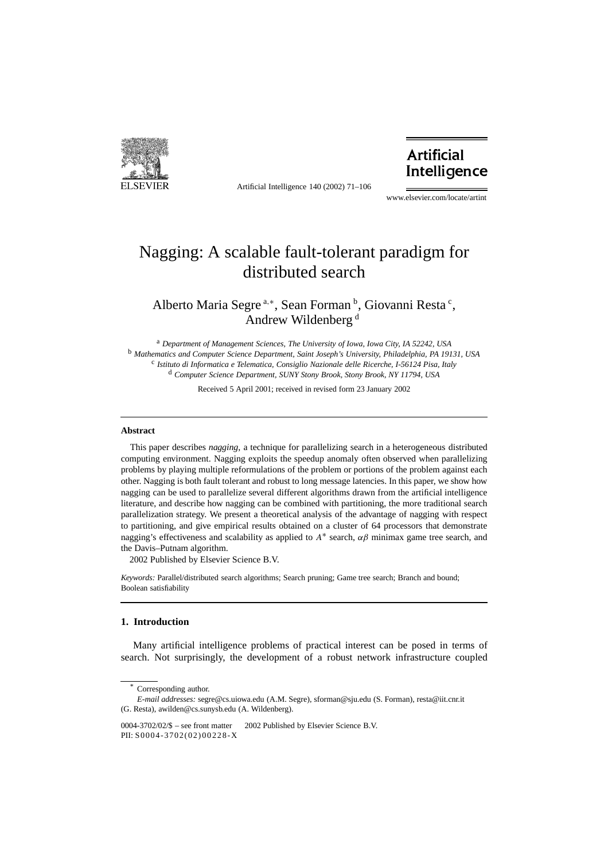

Artificial Intelligence 140 (2002) 71–106



www.elsevier.com/locate/artint

# Nagging: A scalable fault-tolerant paradigm for distributed search

Alberto Maria Segre<sup>a,\*</sup>, Sean Forman<sup>b</sup>, Giovanni Resta<sup>c</sup>, Andrew Wildenberg <sup>d</sup>

<sup>a</sup> *Department of Management Sciences, The University of Iowa, Iowa City, IA 52242, USA* <sup>b</sup> *Mathematics and Computer Science Department, Saint Joseph's University, Philadelphia, PA 19131, USA* <sup>c</sup> *Istituto di Informatica e Telematica, Consiglio Nazionale delle Ricerche, I-56124 Pisa, Italy* <sup>d</sup> *Computer Science Department, SUNY Stony Brook, Stony Brook, NY 11794, USA*

Received 5 April 2001; received in revised form 23 January 2002

#### **Abstract**

This paper describes *nagging*, a technique for parallelizing search in a heterogeneous distributed computing environment. Nagging exploits the speedup anomaly often observed when parallelizing problems by playing multiple reformulations of the problem or portions of the problem against each other. Nagging is both fault tolerant and robust to long message latencies. In this paper, we show how nagging can be used to parallelize several different algorithms drawn from the artificial intelligence literature, and describe how nagging can be combined with partitioning, the more traditional search parallelization strategy. We present a theoretical analysis of the advantage of nagging with respect to partitioning, and give empirical results obtained on a cluster of 64 processors that demonstrate nagging's effectiveness and scalability as applied to  $A^*$  search,  $\alpha\beta$  minimax game tree search, and the Davis–Putnam algorithm.

2002 Published by Elsevier Science B.V.

*Keywords:* Parallel/distributed search algorithms; Search pruning; Game tree search; Branch and bound; Boolean satisfiability

# **1. Introduction**

Many artificial intelligence problems of practical interest can be posed in terms of search. Not surprisingly, the development of a robust network infrastructure coupled

Corresponding author.

*E-mail addresses:* segre@cs.uiowa.edu (A.M. Segre), sforman@sju.edu (S. Forman), resta@iit.cnr.it (G. Resta), awilden@cs.sunysb.edu (A. Wildenberg).

<sup>0004-3702/02/\$ –</sup> see front matter  $\degree$  2002 Published by Elsevier Science B.V. PII: S0004-3702(02)00228-X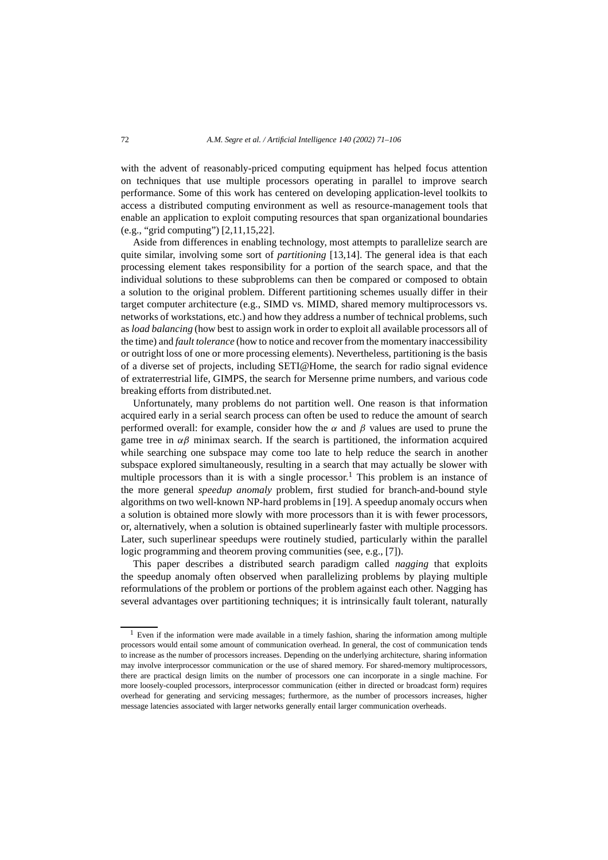with the advent of reasonably-priced computing equipment has helped focus attention on techniques that use multiple processors operating in parallel to improve search performance. Some of this work has centered on developing application-level toolkits to access a distributed computing environment as well as resource-management tools that enable an application to exploit computing resources that span organizational boundaries (e.g., "grid computing") [2,11,15,22].

Aside from differences in enabling technology, most attempts to parallelize search are quite similar, involving some sort of *partitioning* [13,14]. The general idea is that each processing element takes responsibility for a portion of the search space, and that the individual solutions to these subproblems can then be compared or composed to obtain a solution to the original problem. Different partitioning schemes usually differ in their target computer architecture (e.g., SIMD vs. MIMD, shared memory multiprocessors vs. networks of workstations, etc.) and how they address a number of technical problems, such as *load balancing* (how best to assign work in order to exploit all available processors all of the time) and *fault tolerance* (how to notice and recover from the momentary inaccessibility or outright loss of one or more processing elements). Nevertheless, partitioning is the basis of a diverse set of projects, including SETI@Home, the search for radio signal evidence of extraterrestrial life, GIMPS, the search for Mersenne prime numbers, and various code breaking efforts from distributed.net.

Unfortunately, many problems do not partition well. One reason is that information acquired early in a serial search process can often be used to reduce the amount of search performed overall: for example, consider how the  $\alpha$  and  $\beta$  values are used to prune the game tree in  $\alpha\beta$  minimax search. If the search is partitioned, the information acquired while searching one subspace may come too late to help reduce the search in another subspace explored simultaneously, resulting in a search that may actually be slower with multiple processors than it is with a single processor.<sup>1</sup> This problem is an instance of the more general *speedup anomaly* problem, first studied for branch-and-bound style algorithms on two well-known NP-hard problems in [19]. A speedup anomaly occurs when a solution is obtained more slowly with more processors than it is with fewer processors, or, alternatively, when a solution is obtained superlinearly faster with multiple processors. Later, such superlinear speedups were routinely studied, particularly within the parallel logic programming and theorem proving communities (see, e.g., [7]).

This paper describes a distributed search paradigm called *nagging* that exploits the speedup anomaly often observed when parallelizing problems by playing multiple reformulations of the problem or portions of the problem against each other. Nagging has several advantages over partitioning techniques; it is intrinsically fault tolerant, naturally

 $<sup>1</sup>$  Even if the information were made available in a timely fashion, sharing the information among multiple</sup> processors would entail some amount of communication overhead. In general, the cost of communication tends to increase as the number of processors increases. Depending on the underlying architecture, sharing information may involve interprocessor communication or the use of shared memory. For shared-memory multiprocessors, there are practical design limits on the number of processors one can incorporate in a single machine. For more loosely-coupled processors, interprocessor communication (either in directed or broadcast form) requires overhead for generating and servicing messages; furthermore, as the number of processors increases, higher message latencies associated with larger networks generally entail larger communication overheads.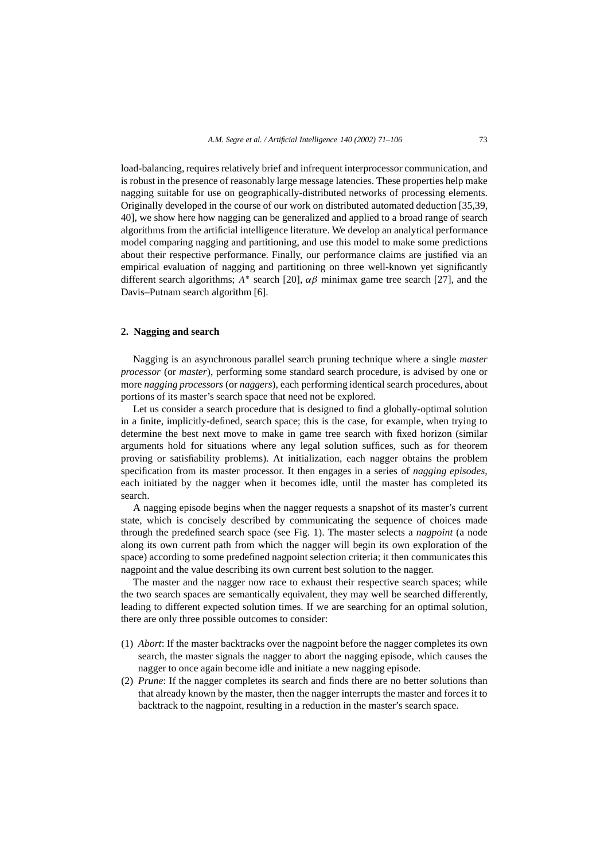load-balancing, requires relatively brief and infrequent interprocessor communication, and is robust in the presence of reasonably large message latencies. These properties help make nagging suitable for use on geographically-distributed networks of processing elements. Originally developed in the course of our work on distributed automated deduction [35,39, 40], we show here how nagging can be generalized and applied to a broad range of search algorithms from the artificial intelligence literature. We develop an analytical performance model comparing nagging and partitioning, and use this model to make some predictions about their respective performance. Finally, our performance claims are justified via an empirical evaluation of nagging and partitioning on three well-known yet significantly different search algorithms; *A*<sup>∗</sup> search [20], *αβ* minimax game tree search [27], and the Davis–Putnam search algorithm [6].

# **2. Nagging and search**

Nagging is an asynchronous parallel search pruning technique where a single *master processor* (or *master*), performing some standard search procedure, is advised by one or more *nagging processors* (or *naggers*), each performing identical search procedures, about portions of its master's search space that need not be explored.

Let us consider a search procedure that is designed to find a globally-optimal solution in a finite, implicitly-defined, search space; this is the case, for example, when trying to determine the best next move to make in game tree search with fixed horizon (similar arguments hold for situations where any legal solution suffices, such as for theorem proving or satisfiability problems). At initialization, each nagger obtains the problem specification from its master processor. It then engages in a series of *nagging episodes*, each initiated by the nagger when it becomes idle, until the master has completed its search.

A nagging episode begins when the nagger requests a snapshot of its master's current state, which is concisely described by communicating the sequence of choices made through the predefined search space (see Fig. 1). The master selects a *nagpoint* (a node along its own current path from which the nagger will begin its own exploration of the space) according to some predefined nagpoint selection criteria; it then communicates this nagpoint and the value describing its own current best solution to the nagger.

The master and the nagger now race to exhaust their respective search spaces; while the two search spaces are semantically equivalent, they may well be searched differently, leading to different expected solution times. If we are searching for an optimal solution, there are only three possible outcomes to consider:

- (1) *Abort*: If the master backtracks over the nagpoint before the nagger completes its own search, the master signals the nagger to abort the nagging episode, which causes the nagger to once again become idle and initiate a new nagging episode.
- (2) *Prune*: If the nagger completes its search and finds there are no better solutions than that already known by the master, then the nagger interrupts the master and forces it to backtrack to the nagpoint, resulting in a reduction in the master's search space.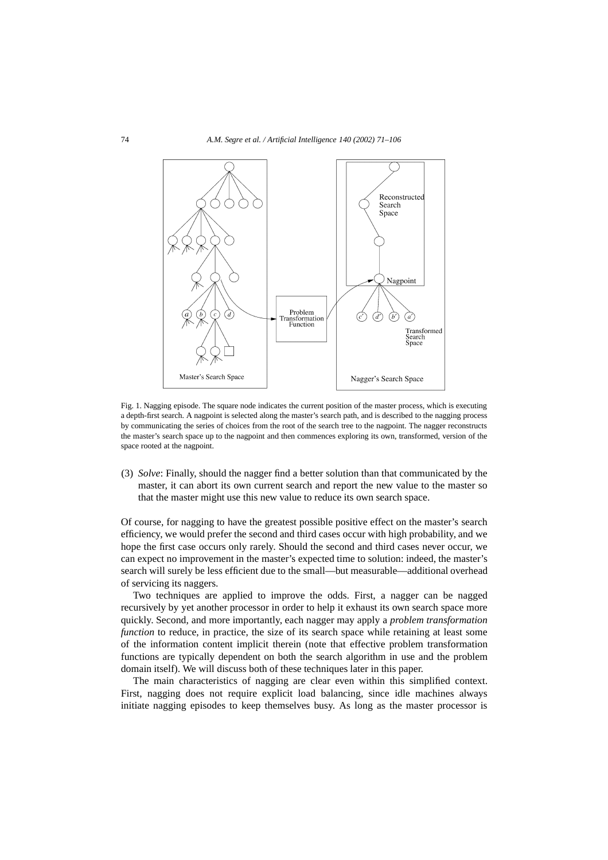

Fig. 1. Nagging episode. The square node indicates the current position of the master process, which is executing a depth-first search. A nagpoint is selected along the master's search path, and is described to the nagging process by communicating the series of choices from the root of the search tree to the nagpoint. The nagger reconstructs the master's search space up to the nagpoint and then commences exploring its own, transformed, version of the space rooted at the nagpoint.

(3) *Solve*: Finally, should the nagger find a better solution than that communicated by the master, it can abort its own current search and report the new value to the master so that the master might use this new value to reduce its own search space.

Of course, for nagging to have the greatest possible positive effect on the master's search efficiency, we would prefer the second and third cases occur with high probability, and we hope the first case occurs only rarely. Should the second and third cases never occur, we can expect no improvement in the master's expected time to solution: indeed, the master's search will surely be less efficient due to the small—but measurable—additional overhead of servicing its naggers.

Two techniques are applied to improve the odds. First, a nagger can be nagged recursively by yet another processor in order to help it exhaust its own search space more quickly. Second, and more importantly, each nagger may apply a *problem transformation function* to reduce, in practice, the size of its search space while retaining at least some of the information content implicit therein (note that effective problem transformation functions are typically dependent on both the search algorithm in use and the problem domain itself). We will discuss both of these techniques later in this paper.

The main characteristics of nagging are clear even within this simplified context. First, nagging does not require explicit load balancing, since idle machines always initiate nagging episodes to keep themselves busy. As long as the master processor is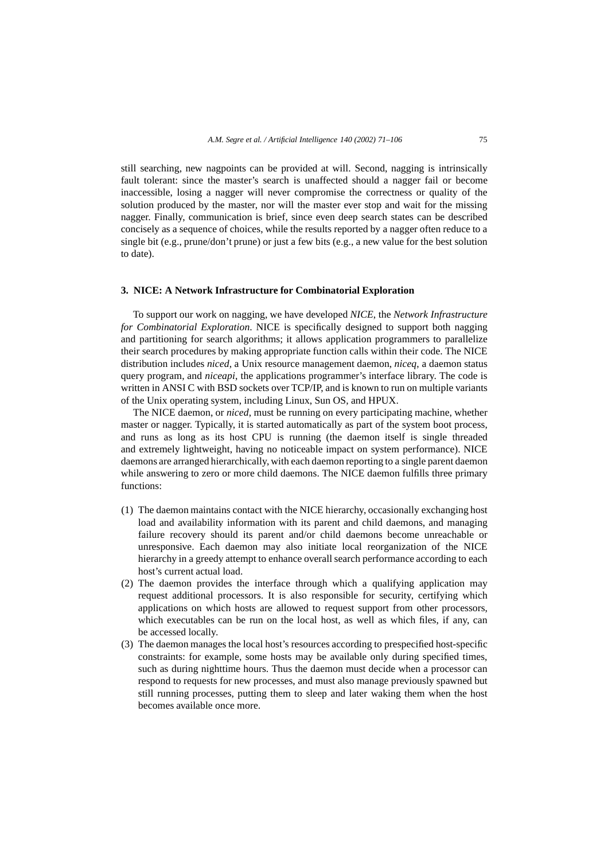still searching, new nagpoints can be provided at will. Second, nagging is intrinsically fault tolerant: since the master's search is unaffected should a nagger fail or become inaccessible, losing a nagger will never compromise the correctness or quality of the solution produced by the master, nor will the master ever stop and wait for the missing nagger. Finally, communication is brief, since even deep search states can be described concisely as a sequence of choices, while the results reported by a nagger often reduce to a single bit (e.g., prune/don't prune) or just a few bits (e.g., a new value for the best solution to date).

# **3. NICE: A Network Infrastructure for Combinatorial Exploration**

To support our work on nagging, we have developed *NICE*, the *Network Infrastructure for Combinatorial Exploration*. NICE is specifically designed to support both nagging and partitioning for search algorithms; it allows application programmers to parallelize their search procedures by making appropriate function calls within their code. The NICE distribution includes *niced*, a Unix resource management daemon, *niceq*, a daemon status query program, and *niceapi*, the applications programmer's interface library. The code is written in ANSI C with BSD sockets over TCP/IP, and is known to run on multiple variants of the Unix operating system, including Linux, Sun OS, and HPUX.

The NICE daemon, or *niced*, must be running on every participating machine, whether master or nagger. Typically, it is started automatically as part of the system boot process, and runs as long as its host CPU is running (the daemon itself is single threaded and extremely lightweight, having no noticeable impact on system performance). NICE daemons are arranged hierarchically, with each daemon reporting to a single parent daemon while answering to zero or more child daemons. The NICE daemon fulfills three primary functions:

- (1) The daemon maintains contact with the NICE hierarchy, occasionally exchanging host load and availability information with its parent and child daemons, and managing failure recovery should its parent and/or child daemons become unreachable or unresponsive. Each daemon may also initiate local reorganization of the NICE hierarchy in a greedy attempt to enhance overall search performance according to each host's current actual load.
- (2) The daemon provides the interface through which a qualifying application may request additional processors. It is also responsible for security, certifying which applications on which hosts are allowed to request support from other processors, which executables can be run on the local host, as well as which files, if any, can be accessed locally.
- (3) The daemon manages the local host's resources according to prespecified host-specific constraints: for example, some hosts may be available only during specified times, such as during nighttime hours. Thus the daemon must decide when a processor can respond to requests for new processes, and must also manage previously spawned but still running processes, putting them to sleep and later waking them when the host becomes available once more.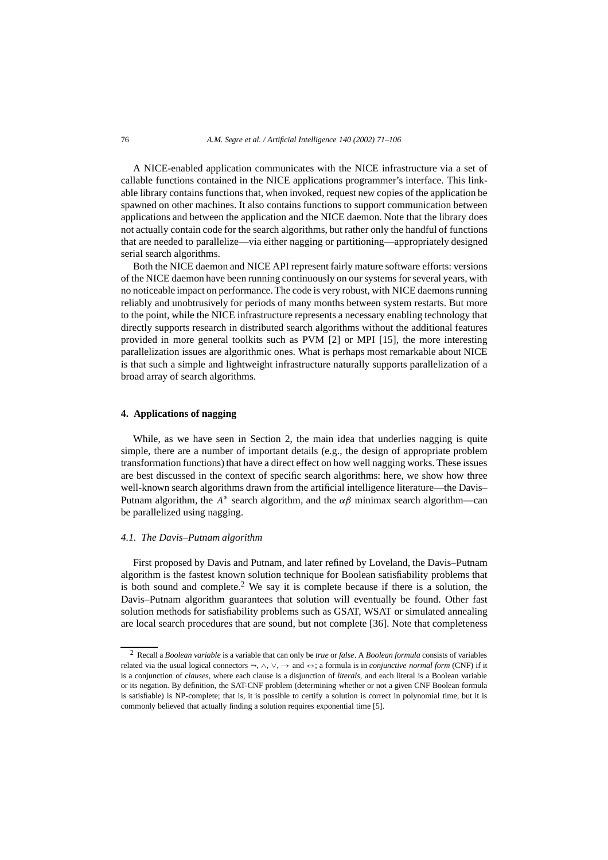A NICE-enabled application communicates with the NICE infrastructure via a set of callable functions contained in the NICE applications programmer's interface. This linkable library contains functions that, when invoked, request new copies of the application be spawned on other machines. It also contains functions to support communication between applications and between the application and the NICE daemon. Note that the library does not actually contain code for the search algorithms, but rather only the handful of functions that are needed to parallelize—via either nagging or partitioning—appropriately designed serial search algorithms.

Both the NICE daemon and NICE API represent fairly mature software efforts: versions of the NICE daemon have been running continuously on our systems for several years, with no noticeable impact on performance. The code is very robust, with NICE daemons running reliably and unobtrusively for periods of many months between system restarts. But more to the point, while the NICE infrastructure represents a necessary enabling technology that directly supports research in distributed search algorithms without the additional features provided in more general toolkits such as PVM [2] or MPI [15], the more interesting parallelization issues are algorithmic ones. What is perhaps most remarkable about NICE is that such a simple and lightweight infrastructure naturally supports parallelization of a broad array of search algorithms.

# **4. Applications of nagging**

While, as we have seen in Section 2, the main idea that underlies nagging is quite simple, there are a number of important details (e.g., the design of appropriate problem transformation functions) that have a direct effect on how well nagging works. These issues are best discussed in the context of specific search algorithms: here, we show how three well-known search algorithms drawn from the artificial intelligence literature—the Davis– Putnam algorithm, the  $A^*$  search algorithm, and the  $\alpha\beta$  minimax search algorithm—can be parallelized using nagging.

## *4.1. The Davis–Putnam algorithm*

First proposed by Davis and Putnam, and later refined by Loveland, the Davis–Putnam algorithm is the fastest known solution technique for Boolean satisfiability problems that is both sound and complete.<sup>2</sup> We say it is complete because if there is a solution, the Davis–Putnam algorithm guarantees that solution will eventually be found. Other fast solution methods for satisfiability problems such as GSAT, WSAT or simulated annealing are local search procedures that are sound, but not complete [36]. Note that completeness

<sup>2</sup> Recall a *Boolean variable* is a variable that can only be *true* or *false*. A *Boolean formula* consists of variables related via the usual logical connectors ¬, ∧, ∨, → and ↔; a formula is in *conjunctive normal form* (CNF) if it is a conjunction of *clauses*, where each clause is a disjunction of *literals*, and each literal is a Boolean variable or its negation. By definition, the SAT-CNF problem (determining whether or not a given CNF Boolean formula is satisfiable) is NP-complete; that is, it is possible to certify a solution is correct in polynomial time, but it is commonly believed that actually finding a solution requires exponential time [5].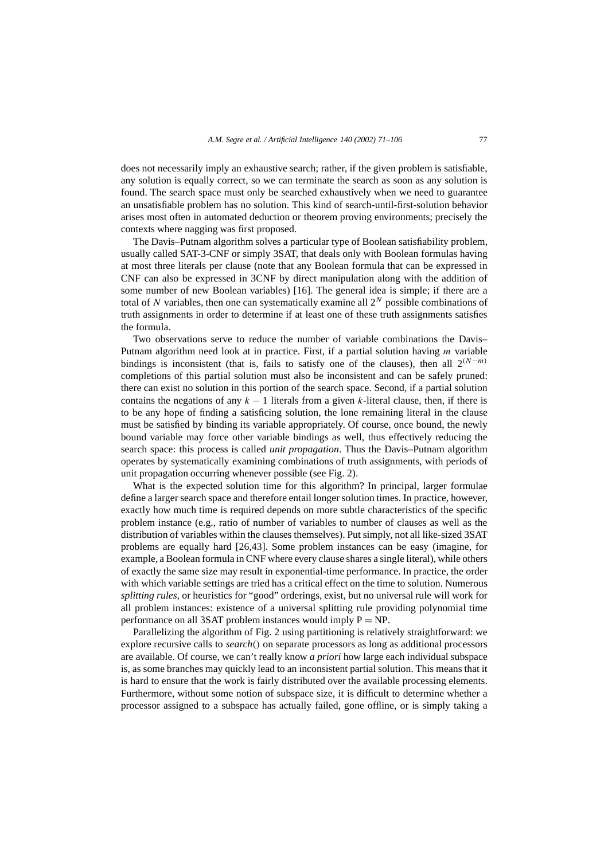does not necessarily imply an exhaustive search; rather, if the given problem is satisfiable, any solution is equally correct, so we can terminate the search as soon as any solution is found. The search space must only be searched exhaustively when we need to guarantee an unsatisfiable problem has no solution. This kind of search-until-first-solution behavior arises most often in automated deduction or theorem proving environments; precisely the contexts where nagging was first proposed.

The Davis–Putnam algorithm solves a particular type of Boolean satisfiability problem, usually called SAT-3-CNF or simply 3SAT, that deals only with Boolean formulas having at most three literals per clause (note that any Boolean formula that can be expressed in CNF can also be expressed in 3CNF by direct manipulation along with the addition of some number of new Boolean variables) [16]. The general idea is simple; if there are a total of *N* variables, then one can systematically examine all  $2^N$  possible combinations of truth assignments in order to determine if at least one of these truth assignments satisfies the formula.

Two observations serve to reduce the number of variable combinations the Davis– Putnam algorithm need look at in practice. First, if a partial solution having *m* variable bindings is inconsistent (that is, fails to satisfy one of the clauses), then all  $2^{(N-m)}$ completions of this partial solution must also be inconsistent and can be safely pruned: there can exist no solution in this portion of the search space. Second, if a partial solution contains the negations of any  $k-1$  literals from a given  $k$ -literal clause, then, if there is to be any hope of finding a satisficing solution, the lone remaining literal in the clause must be satisfied by binding its variable appropriately. Of course, once bound, the newly bound variable may force other variable bindings as well, thus effectively reducing the search space: this process is called *unit propagation*. Thus the Davis–Putnam algorithm operates by systematically examining combinations of truth assignments, with periods of unit propagation occurring whenever possible (see Fig. 2).

What is the expected solution time for this algorithm? In principal, larger formulae define a larger search space and therefore entail longer solution times. In practice, however, exactly how much time is required depends on more subtle characteristics of the specific problem instance (e.g., ratio of number of variables to number of clauses as well as the distribution of variables within the clauses themselves). Put simply, not all like-sized 3SAT problems are equally hard [26,43]. Some problem instances can be easy (imagine, for example, a Boolean formula in CNF where every clause shares a single literal), while others of exactly the same size may result in exponential-time performance. In practice, the order with which variable settings are tried has a critical effect on the time to solution. Numerous *splitting rules*, or heuristics for "good" orderings, exist, but no universal rule will work for all problem instances: existence of a universal splitting rule providing polynomial time performance on all 3SAT problem instances would imply  $P = NP$ .

Parallelizing the algorithm of Fig. 2 using partitioning is relatively straightforward: we explore recursive calls to *search()* on separate processors as long as additional processors are available. Of course, we can't really know *a priori* how large each individual subspace is, as some branches may quickly lead to an inconsistent partial solution. This means that it is hard to ensure that the work is fairly distributed over the available processing elements. Furthermore, without some notion of subspace size, it is difficult to determine whether a processor assigned to a subspace has actually failed, gone offline, or is simply taking a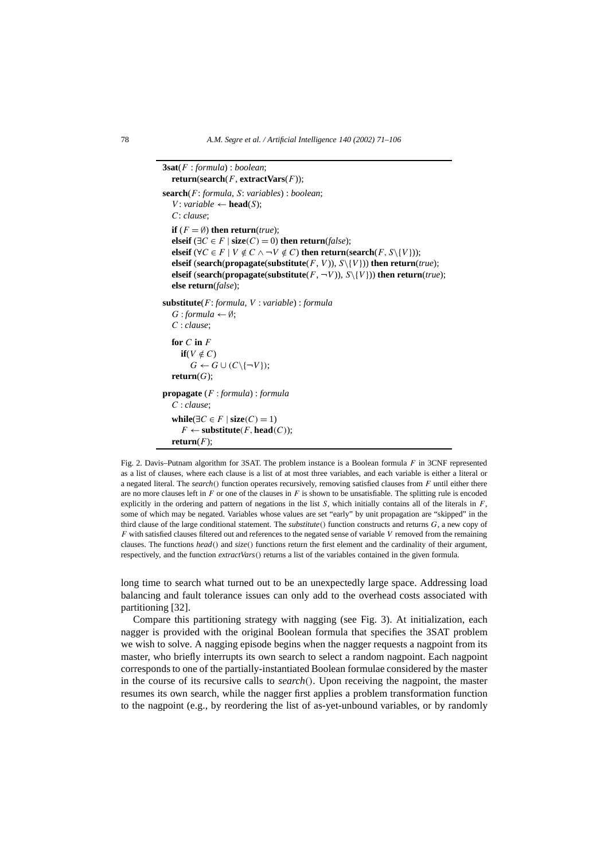```
3sat(F : formula) : boolean;
  return(search(F, extractVars(F));
search(F: formula, S: variables) : boolean;
   V: variable \leftarrow head(S);
  C: clause;
  if (F = \emptyset) then return(true);
  elseif (∃C ∈ F | size(C) = 0) then return(false);
  elseif (∀C ∈ F | V ∉ C ∧ ¬V ∉ C) then return(search(F, S\{V}));
  elseif (search(propagate(substitute(F, V)), S \setminus \{V\})) then return(true);
  elseif (search(propagate(substitute(F, \neg V)), S \setminus \{V\})) then return(true);
  else return(false);
substitute(F: formula, V : variable) : formula
   G: formula \leftarrow \emptyset;C : clause;
  for C in F
     if(V \notin C)
        G \leftarrow G \cup (C \setminus \{\neg V\});
  return(G);propagate (F : formula) : formula
  C : clause;
   while(\exists C \in F | size(C) = 1)
      F \leftarrow \textbf{substitute}(F, \textbf{head}(C));return(F);
```
Fig. 2. Davis–Putnam algorithm for 3SAT. The problem instance is a Boolean formula *F* in 3CNF represented as a list of clauses, where each clause is a list of at most three variables, and each variable is either a literal or a negated literal. The *search()* function operates recursively, removing satisfied clauses from *F* until either there are no more clauses left in  $F$  or one of the clauses in  $F$  is shown to be unsatisfiable. The splitting rule is encoded explicitly in the ordering and pattern of negations in the list *S*, which initially contains all of the literals in *F*, some of which may be negated. Variables whose values are set "early" by unit propagation are "skipped" in the third clause of the large conditional statement. The *substitute()* function constructs and returns *G*, a new copy of *F* with satisfied clauses filtered out and references to the negated sense of variable *V* removed from the remaining clauses. The functions *head()* and *size()* functions return the first element and the cardinality of their argument, respectively, and the function *extractVars()* returns a list of the variables contained in the given formula.

long time to search what turned out to be an unexpectedly large space. Addressing load balancing and fault tolerance issues can only add to the overhead costs associated with partitioning [32].

Compare this partitioning strategy with nagging (see Fig. 3). At initialization, each nagger is provided with the original Boolean formula that specifies the 3SAT problem we wish to solve. A nagging episode begins when the nagger requests a nagpoint from its master, who briefly interrupts its own search to select a random nagpoint. Each nagpoint corresponds to one of the partially-instantiated Boolean formulae considered by the master in the course of its recursive calls to *search()*. Upon receiving the nagpoint, the master resumes its own search, while the nagger first applies a problem transformation function to the nagpoint (e.g., by reordering the list of as-yet-unbound variables, or by randomly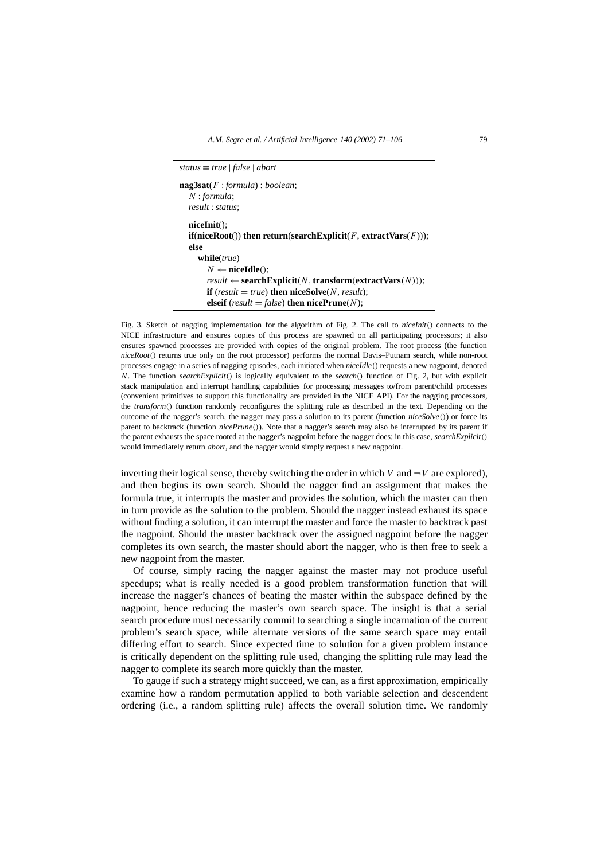```
status ≡ true | false | abort
```

```
nag3sat(F : formula) : boolean;
  N : formula;
  result : status;
  niceInit();
  if(\textbf{niceRoot}()) then return(\textbf{searchExplicit}(F, \textbf{extractVars}(F)));
  else
     while(true)
       N \leftarrow niceIdle();
       result ← searchExplicit(N ,transform(extractVars(N)));
       if (result = true) then niceSolve(N, result);
       elseif (result = false) then nicePrune(N);
```
Fig. 3. Sketch of nagging implementation for the algorithm of Fig. 2. The call to *niceInit()* connects to the NICE infrastructure and ensures copies of this process are spawned on all participating processors; it also ensures spawned processes are provided with copies of the original problem. The root process (the function *niceRoot()* returns true only on the root processor) performs the normal Davis–Putnam search, while non-root processes engage in a series of nagging episodes, each initiated when *niceIdle()* requests a new nagpoint, denoted *N*. The function *searchExplicit()* is logically equivalent to the *search()* function of Fig. 2, but with explicit stack manipulation and interrupt handling capabilities for processing messages to/from parent/child processes (convenient primitives to support this functionality are provided in the NICE API). For the nagging processors, the *transform()* function randomly reconfigures the splitting rule as described in the text. Depending on the outcome of the nagger's search, the nagger may pass a solution to its parent (function  $niceSolve()$ ) or force its parent to backtrack (function *nicePrune()*). Note that a nagger's search may also be interrupted by its parent if the parent exhausts the space rooted at the nagger's nagpoint before the nagger does; in this case, *searchExplicit()* would immediately return *abort*, and the nagger would simply request a new nagpoint.

inverting their logical sense, thereby switching the order in which  $V$  and  $\neg V$  are explored), and then begins its own search. Should the nagger find an assignment that makes the formula true, it interrupts the master and provides the solution, which the master can then in turn provide as the solution to the problem. Should the nagger instead exhaust its space without finding a solution, it can interrupt the master and force the master to backtrack past the nagpoint. Should the master backtrack over the assigned nagpoint before the nagger completes its own search, the master should abort the nagger, who is then free to seek a new nagpoint from the master.

Of course, simply racing the nagger against the master may not produce useful speedups; what is really needed is a good problem transformation function that will increase the nagger's chances of beating the master within the subspace defined by the nagpoint, hence reducing the master's own search space. The insight is that a serial search procedure must necessarily commit to searching a single incarnation of the current problem's search space, while alternate versions of the same search space may entail differing effort to search. Since expected time to solution for a given problem instance is critically dependent on the splitting rule used, changing the splitting rule may lead the nagger to complete its search more quickly than the master.

To gauge if such a strategy might succeed, we can, as a first approximation, empirically examine how a random permutation applied to both variable selection and descendent ordering (i.e., a random splitting rule) affects the overall solution time. We randomly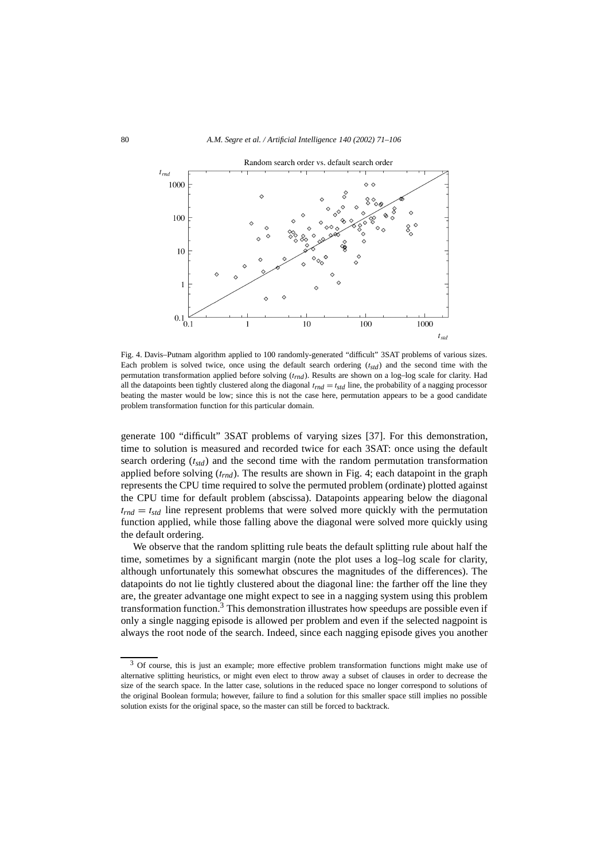

Fig. 4. Davis–Putnam algorithm applied to 100 randomly-generated "difficult" 3SAT problems of various sizes. Each problem is solved twice, once using the default search ordering  $(t_{std})$  and the second time with the permutation transformation applied before solving (*trnd*). Results are shown on a log–log scale for clarity. Had all the datapoints been tightly clustered along the diagonal  $t_{rnd} = t_{std}$  line, the probability of a nagging processor beating the master would be low; since this is not the case here, permutation appears to be a good candidate problem transformation function for this particular domain.

generate 100 "difficult" 3SAT problems of varying sizes [37]. For this demonstration, time to solution is measured and recorded twice for each 3SAT: once using the default search ordering  $(t_{std})$  and the second time with the random permutation transformation applied before solving (*trnd*). The results are shown in Fig. 4; each datapoint in the graph represents the CPU time required to solve the permuted problem (ordinate) plotted against the CPU time for default problem (abscissa). Datapoints appearing below the diagonal  $t_{rnd} = t_{std}$  line represent problems that were solved more quickly with the permutation function applied, while those falling above the diagonal were solved more quickly using the default ordering.

We observe that the random splitting rule beats the default splitting rule about half the time, sometimes by a significant margin (note the plot uses a log–log scale for clarity, although unfortunately this somewhat obscures the magnitudes of the differences). The datapoints do not lie tightly clustered about the diagonal line: the farther off the line they are, the greater advantage one might expect to see in a nagging system using this problem transformation function.<sup>3</sup> This demonstration illustrates how speedups are possible even if only a single nagging episode is allowed per problem and even if the selected nagpoint is always the root node of the search. Indeed, since each nagging episode gives you another

<sup>&</sup>lt;sup>3</sup> Of course, this is just an example; more effective problem transformation functions might make use of alternative splitting heuristics, or might even elect to throw away a subset of clauses in order to decrease the size of the search space. In the latter case, solutions in the reduced space no longer correspond to solutions of the original Boolean formula; however, failure to find a solution for this smaller space still implies no possible solution exists for the original space, so the master can still be forced to backtrack.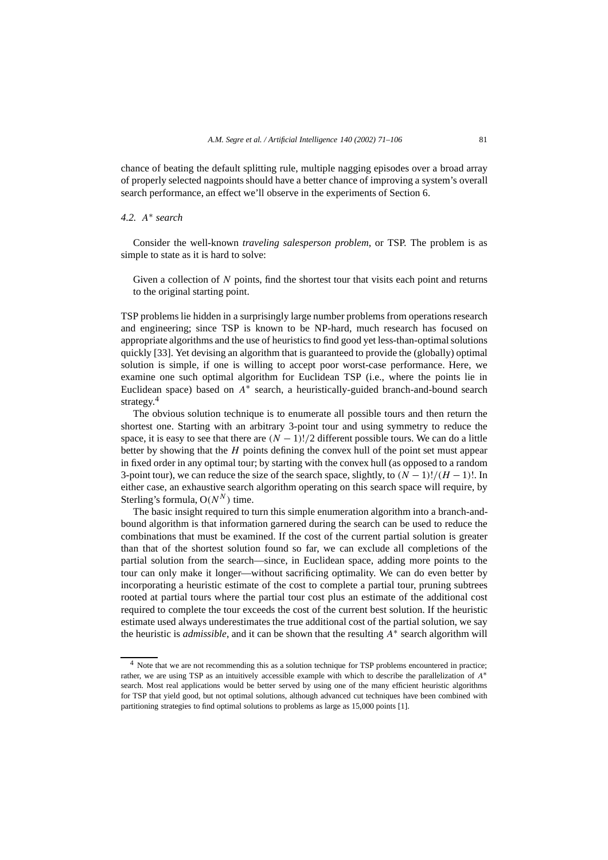chance of beating the default splitting rule, multiple nagging episodes over a broad array of properly selected nagpoints should have a better chance of improving a system's overall search performance, an effect we'll observe in the experiments of Section 6.

# *4.2. A*<sup>∗</sup> *search*

Consider the well-known *traveling salesperson problem*, or TSP. The problem is as simple to state as it is hard to solve:

Given a collection of N points, find the shortest tour that visits each point and returns to the original starting point.

TSP problems lie hidden in a surprisingly large number problems from operations research and engineering; since TSP is known to be NP-hard, much research has focused on appropriate algorithms and the use of heuristics to find good yet less-than-optimal solutions quickly [33]. Yet devising an algorithm that is guaranteed to provide the (globally) optimal solution is simple, if one is willing to accept poor worst-case performance. Here, we examine one such optimal algorithm for Euclidean TSP (i.e., where the points lie in Euclidean space) based on *A*<sup>∗</sup> search, a heuristically-guided branch-and-bound search strategy.<sup>4</sup>

The obvious solution technique is to enumerate all possible tours and then return the shortest one. Starting with an arbitrary 3-point tour and using symmetry to reduce the space, it is easy to see that there are  $(N - 1)!/2$  different possible tours. We can do a little better by showing that the *H* points defining the convex hull of the point set must appear in fixed order in any optimal tour; by starting with the convex hull (as opposed to a random 3-point tour), we can reduce the size of the search space, slightly, to  $(N-1)!/(H-1)!$ . In either case, an exhaustive search algorithm operating on this search space will require, by Sterling's formula,  $O(N^N)$  time.

The basic insight required to turn this simple enumeration algorithm into a branch-andbound algorithm is that information garnered during the search can be used to reduce the combinations that must be examined. If the cost of the current partial solution is greater than that of the shortest solution found so far, we can exclude all completions of the partial solution from the search—since, in Euclidean space, adding more points to the tour can only make it longer—without sacrificing optimality. We can do even better by incorporating a heuristic estimate of the cost to complete a partial tour, pruning subtrees rooted at partial tours where the partial tour cost plus an estimate of the additional cost required to complete the tour exceeds the cost of the current best solution. If the heuristic estimate used always underestimates the true additional cost of the partial solution, we say the heuristic is *admissible*, and it can be shown that the resulting *A*<sup>∗</sup> search algorithm will

<sup>&</sup>lt;sup>4</sup> Note that we are not recommending this as a solution technique for TSP problems encountered in practice; rather, we are using TSP as an intuitively accessible example with which to describe the parallelization of *A*<sup>∗</sup> search. Most real applications would be better served by using one of the many efficient heuristic algorithms for TSP that yield good, but not optimal solutions, although advanced cut techniques have been combined with partitioning strategies to find optimal solutions to problems as large as 15,000 points [1].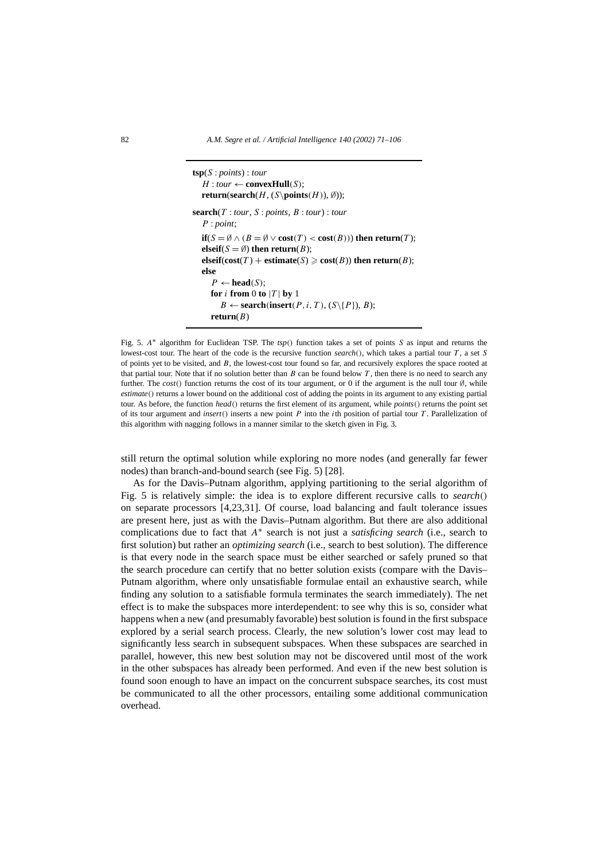```
tsp(S : points) : tour
   H: \text{tour} \leftarrow \text{convexHull}(S);return(search(H, (S\colon H)), Ø));
\textbf{search}(T : \textit{tour}, S : \textit{points}, B : \textit{tour}) : \textit{tour}P : point;
   if(S = ∅ ∧ (B = ∅ ∨ cost(T) < cost(B))) then return(T);
   elseif(S = \emptyset) then return(B);
   elseif(\text{cost}(T)) + \text{estimate}(S) \geq \text{cost}(B)) then return(B);
   else
       P \leftarrow \textbf{head}(S);
      for i from 0 to |T| by 1
         B \leftarrow search(insert(P, i, T), (S\{P}), B);
      return(B)
```
Fig. 5. *A*<sup>∗</sup> algorithm for Euclidean TSP. The *tsp()* function takes a set of points *S* as input and returns the lowest-cost tour. The heart of the code is the recursive function *search()*, which takes a partial tour *T* , a set *S* of points yet to be visited, and *B*, the lowest-cost tour found so far, and recursively explores the space rooted at that partial tour. Note that if no solution better than  $B$  can be found below  $T$ , then there is no need to search any further. The *cost*() function returns the cost of its tour argument, or 0 if the argument is the null tour  $\emptyset$ , while *estimate()* returns a lower bound on the additional cost of adding the points in its argument to any existing partial tour. As before, the function *head()* returns the first element of its argument, while *points()* returns the point set of its tour argument and *insert()* inserts a new point *P* into the *i*th position of partial tour *T* . Parallelization of this algorithm with nagging follows in a manner similar to the sketch given in Fig. 3.

still return the optimal solution while exploring no more nodes (and generally far fewer nodes) than branch-and-bound search (see Fig. 5) [28].

As for the Davis–Putnam algorithm, applying partitioning to the serial algorithm of Fig. 5 is relatively simple: the idea is to explore different recursive calls to *search()* on separate processors [4,23,31]. Of course, load balancing and fault tolerance issues are present here, just as with the Davis–Putnam algorithm. But there are also additional complications due to fact that *A*<sup>∗</sup> search is not just a *satisficing search* (i.e., search to first solution) but rather an *optimizing search* (i.e., search to best solution). The difference is that every node in the search space must be either searched or safely pruned so that the search procedure can certify that no better solution exists (compare with the Davis– Putnam algorithm, where only unsatisfiable formulae entail an exhaustive search, while finding any solution to a satisfiable formula terminates the search immediately). The net effect is to make the subspaces more interdependent: to see why this is so, consider what happens when a new (and presumably favorable) best solution is found in the first subspace explored by a serial search process. Clearly, the new solution's lower cost may lead to significantly less search in subsequent subspaces. When these subspaces are searched in parallel, however, this new best solution may not be discovered until most of the work in the other subspaces has already been performed. And even if the new best solution is found soon enough to have an impact on the concurrent subspace searches, its cost must be communicated to all the other processors, entailing some additional communication overhead.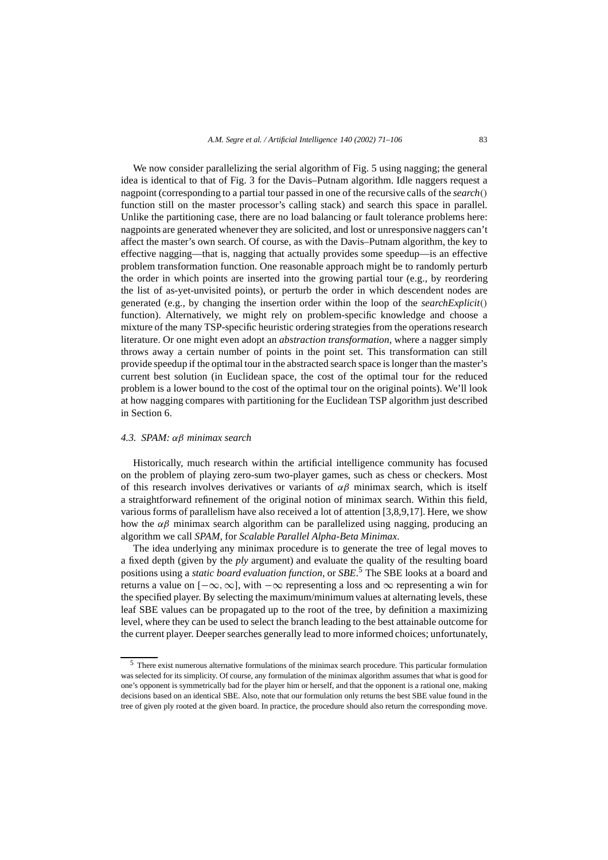We now consider parallelizing the serial algorithm of Fig. 5 using nagging; the general idea is identical to that of Fig. 3 for the Davis–Putnam algorithm. Idle naggers request a nagpoint (corresponding to a partial tour passed in one of the recursive calls of the *search()* function still on the master processor's calling stack) and search this space in parallel. Unlike the partitioning case, there are no load balancing or fault tolerance problems here: nagpoints are generated whenever they are solicited, and lost or unresponsive naggers can't affect the master's own search. Of course, as with the Davis–Putnam algorithm, the key to effective nagging—that is, nagging that actually provides some speedup—is an effective problem transformation function. One reasonable approach might be to randomly perturb the order in which points are inserted into the growing partial tour (e.g., by reordering the list of as-yet-unvisited points), or perturb the order in which descendent nodes are generated (e.g., by changing the insertion order within the loop of the *searchExplicit()* function). Alternatively, we might rely on problem-specific knowledge and choose a mixture of the many TSP-specific heuristic ordering strategies from the operations research literature. Or one might even adopt an *abstraction transformation*, where a nagger simply throws away a certain number of points in the point set. This transformation can still provide speedup if the optimal tour in the abstracted search space is longer than the master's current best solution (in Euclidean space, the cost of the optimal tour for the reduced problem is a lower bound to the cost of the optimal tour on the original points). We'll look at how nagging compares with partitioning for the Euclidean TSP algorithm just described in Section 6.

## *4.3. SPAM: αβ minimax search*

Historically, much research within the artificial intelligence community has focused on the problem of playing zero-sum two-player games, such as chess or checkers. Most of this research involves derivatives or variants of *αβ* minimax search, which is itself a straightforward refinement of the original notion of minimax search. Within this field, various forms of parallelism have also received a lot of attention [3,8,9,17]. Here, we show how the  $\alpha\beta$  minimax search algorithm can be parallelized using nagging, producing an algorithm we call *SPAM*, for *Scalable Parallel Alpha-Beta Minimax*.

The idea underlying any minimax procedure is to generate the tree of legal moves to a fixed depth (given by the *ply* argument) and evaluate the quality of the resulting board positions using a *static board evaluation function*, or *SBE*. <sup>5</sup> The SBE looks at a board and returns a value on  $[-\infty, \infty]$ , with  $-\infty$  representing a loss and  $\infty$  representing a win for the specified player. By selecting the maximum/minimum values at alternating levels, these leaf SBE values can be propagated up to the root of the tree, by definition a maximizing level, where they can be used to select the branch leading to the best attainable outcome for the current player. Deeper searches generally lead to more informed choices; unfortunately,

<sup>5</sup> There exist numerous alternative formulations of the minimax search procedure. This particular formulation was selected for its simplicity. Of course, any formulation of the minimax algorithm assumes that what is good for one's opponent is symmetrically bad for the player him or herself, and that the opponent is a rational one, making decisions based on an identical SBE. Also, note that our formulation only returns the best SBE value found in the tree of given ply rooted at the given board. In practice, the procedure should also return the corresponding move.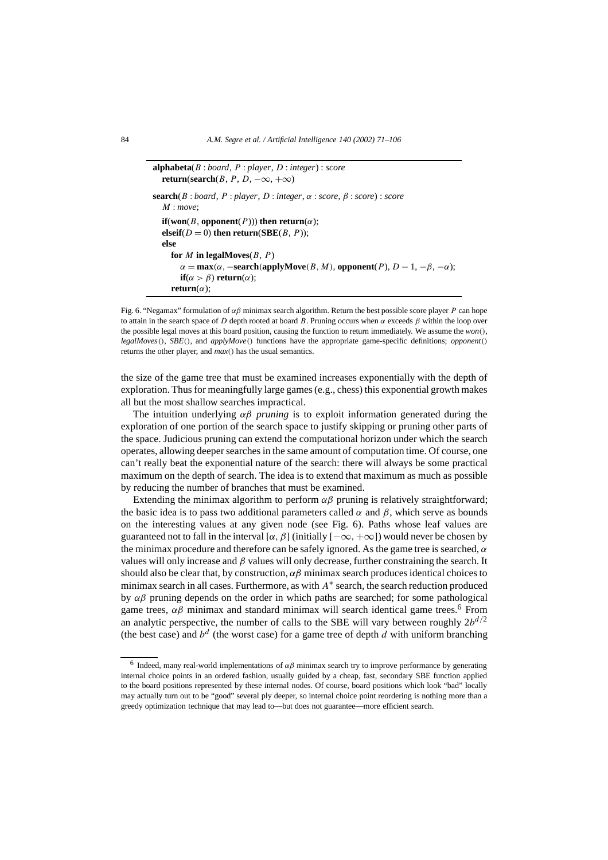```
alphabeta(B : board, P : player, D : integer) : score
  return(search(B, P, D, -\infty, +\infty)
search(B : board, P : player, D : integer, α : score, β : score) : score
   M : move;
  if(won(B, \text{ opponent}(P))) then return(\alpha);
  elseif(D = 0) then return(SBE(B, P));
  else
      for M in legalMoves(B, P)\alpha = \max(\alpha, -\text{search}(\text{applyMove}(B, M), \text{opponent}(P), D - 1, -\beta, -\alpha);if(\alpha > \beta) return(\alpha);
      return(\alpha);
```
Fig. 6. "Negamax" formulation of *αβ* minimax search algorithm. Return the best possible score player *P* can hope to attain in the search space of *D* depth rooted at board *B*. Pruning occurs when *α* exceeds  $β$  within the loop over the possible legal moves at this board position, causing the function to return immediately. We assume the *won()*, *legalMoves()*, *SBE()*, and *applyMove()* functions have the appropriate game-specific definitions; *opponent()* returns the other player, and *max()* has the usual semantics.

the size of the game tree that must be examined increases exponentially with the depth of exploration. Thus for meaningfully large games (e.g., chess) this exponential growth makes all but the most shallow searches impractical.

The intuition underlying *αβ pruning* is to exploit information generated during the exploration of one portion of the search space to justify skipping or pruning other parts of the space. Judicious pruning can extend the computational horizon under which the search operates, allowing deeper searches in the same amount of computation time. Of course, one can't really beat the exponential nature of the search: there will always be some practical maximum on the depth of search. The idea is to extend that maximum as much as possible by reducing the number of branches that must be examined.

Extending the minimax algorithm to perform  $\alpha\beta$  pruning is relatively straightforward; the basic idea is to pass two additional parameters called  $\alpha$  and  $\beta$ , which serve as bounds on the interesting values at any given node (see Fig. 6). Paths whose leaf values are guaranteed not to fall in the interval  $[\alpha, \beta]$  (initially  $[-\infty, +\infty]$ ) would never be chosen by the minimax procedure and therefore can be safely ignored. As the game tree is searched, *α* values will only increase and *β* values will only decrease, further constraining the search. It should also be clear that, by construction,  $\alpha\beta$  minimax search produces identical choices to minimax search in all cases. Furthermore, as with *A*<sup>∗</sup> search, the search reduction produced by *αβ* pruning depends on the order in which paths are searched; for some pathological game trees,  $\alpha\beta$  minimax and standard minimax will search identical game trees.<sup>6</sup> From an analytic perspective, the number of calls to the SBE will vary between roughly  $2b^{d/2}$ (the best case) and  $b^d$  (the worst case) for a game tree of depth *d* with uniform branching

<sup>6</sup> Indeed, many real-world implementations of *αβ* minimax search try to improve performance by generating internal choice points in an ordered fashion, usually guided by a cheap, fast, secondary SBE function applied to the board positions represented by these internal nodes. Of course, board positions which look "bad" locally may actually turn out to be "good" several ply deeper, so internal choice point reordering is nothing more than a greedy optimization technique that may lead to—but does not guarantee—more efficient search.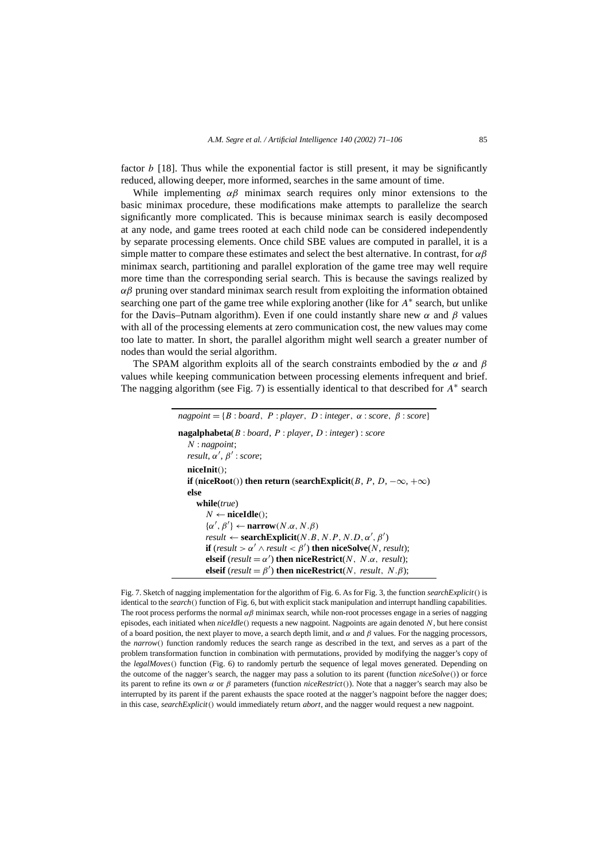factor  *[18]. Thus while the exponential factor is still present, it may be significantly* reduced, allowing deeper, more informed, searches in the same amount of time.

While implementing  $\alpha\beta$  minimax search requires only minor extensions to the basic minimax procedure, these modifications make attempts to parallelize the search significantly more complicated. This is because minimax search is easily decomposed at any node, and game trees rooted at each child node can be considered independently by separate processing elements. Once child SBE values are computed in parallel, it is a simple matter to compare these estimates and select the best alternative. In contrast, for *αβ* minimax search, partitioning and parallel exploration of the game tree may well require more time than the corresponding serial search. This is because the savings realized by  $αβ$  pruning over standard minimax search result from exploiting the information obtained searching one part of the game tree while exploring another (like for *A*<sup>∗</sup> search, but unlike for the Davis–Putnam algorithm). Even if one could instantly share new *α* and *β* values with all of the processing elements at zero communication cost, the new values may come too late to matter. In short, the parallel algorithm might well search a greater number of nodes than would the serial algorithm.

The SPAM algorithm exploits all of the search constraints embodied by the *α* and *β* values while keeping communication between processing elements infrequent and brief. The nagging algorithm (see Fig. 7) is essentially identical to that described for *A*<sup>∗</sup> search

```
nagpoint = {B : board, P : player, D : integer, α : score, β : score}
nagalphabeta(B : board, P : player, D : integer) : score
   N : nagpoint;
   result, α
, β : score;
   niceInit();
   if (\textbf{niceRoot}()) then return (\textbf{searchExplicit}(B, P, D, -\infty, +\infty)else
      while(true)
         N \leftarrow niceIdle();
         \{\alpha', \beta'\} \leftarrow \textbf{narrow}(N.\alpha, N.\beta)result \leftarrow searchExplicit(N.B, N.P, N.D, \alpha', \beta')if (result > \alpha' \wedge \text{result} < \beta') then niceSolve(N, result);
         elseif (result = \alpha') then niceRestrict(N, N.\alpha, result);
         elseif (result = \beta') then niceRestrict(N, result, N.\beta);
```
Fig. 7. Sketch of nagging implementation for the algorithm of Fig. 6. As for Fig. 3, the function *searchExplicit()* is identical to the *search()* function of Fig. 6, but with explicit stack manipulation and interrupt handling capabilities. The root process performs the normal *αβ* minimax search, while non-root processes engage in a series of nagging episodes, each initiated when *niceIdle()* requests a new nagpoint. Nagpoints are again denoted *N*, but here consist of a board position, the next player to move, a search depth limit, and  $\alpha$  and  $\beta$  values. For the nagging processors, the *narrow()* function randomly reduces the search range as described in the text, and serves as a part of the problem transformation function in combination with permutations, provided by modifying the nagger's copy of the *legalMoves()* function (Fig. 6) to randomly perturb the sequence of legal moves generated. Depending on the outcome of the nagger's search, the nagger may pass a solution to its parent (function *niceSolve()*) or force its parent to refine its own *α* or *β* parameters (function *niceRestrict()*). Note that a nagger's search may also be interrupted by its parent if the parent exhausts the space rooted at the nagger's nagpoint before the nagger does; in this case, *searchExplicit()* would immediately return *abort*, and the nagger would request a new nagpoint.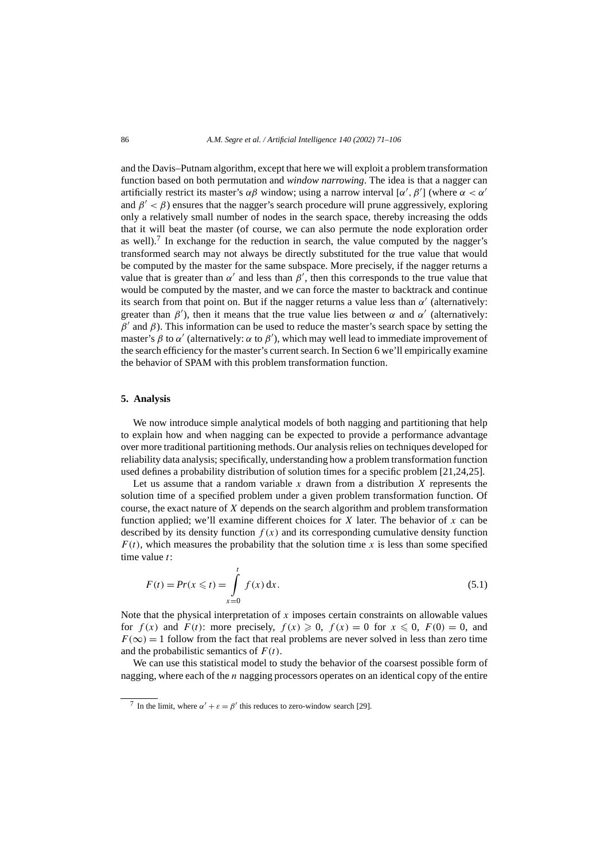and the Davis–Putnam algorithm, except that here we will exploit a problem transformation function based on both permutation and *window narrowing*. The idea is that a nagger can artificially restrict its master's  $\alpha\beta$  window; using a narrow interval [ $\alpha'$ ,  $\beta'$ ] (where  $\alpha < \alpha'$ and  $\beta' < \beta$ ) ensures that the nagger's search procedure will prune aggressively, exploring only a relatively small number of nodes in the search space, thereby increasing the odds that it will beat the master (of course, we can also permute the node exploration order as well).<sup>7</sup> In exchange for the reduction in search, the value computed by the nagger's transformed search may not always be directly substituted for the true value that would be computed by the master for the same subspace. More precisely, if the nagger returns a value that is greater than  $\alpha'$  and less than  $\beta'$ , then this corresponds to the true value that would be computed by the master, and we can force the master to backtrack and continue its search from that point on. But if the nagger returns a value less than  $\alpha'$  (alternatively: greater than  $\beta'$ ), then it means that the true value lies between  $\alpha$  and  $\alpha'$  (alternatively:  $\beta'$  and  $\beta$ ). This information can be used to reduce the master's search space by setting the master's  $\beta$  to  $\alpha'$  (alternatively:  $\alpha$  to  $\beta'$ ), which may well lead to immediate improvement of the search efficiency for the master's current search. In Section 6 we'll empirically examine the behavior of SPAM with this problem transformation function.

## **5. Analysis**

We now introduce simple analytical models of both nagging and partitioning that help to explain how and when nagging can be expected to provide a performance advantage over more traditional partitioning methods. Our analysis relies on techniques developed for reliability data analysis; specifically, understanding how a problem transformation function used defines a probability distribution of solution times for a specific problem [21,24,25].

Let us assume that a random variable *x* drawn from a distribution *X* represents the solution time of a specified problem under a given problem transformation function. Of course, the exact nature of *X* depends on the search algorithm and problem transformation function applied; we'll examine different choices for *X* later. The behavior of *x* can be described by its density function  $f(x)$  and its corresponding cumulative density function  $F(t)$ , which measures the probability that the solution time *x* is less than some specified time value *t*:

$$
F(t) = Pr(x \leq t) = \int_{x=0}^{t} f(x) dx.
$$
 (5.1)

Note that the physical interpretation of *x* imposes certain constraints on allowable values for  $f(x)$  and  $F(t)$ : more precisely,  $f(x) \ge 0$ ,  $f(x) = 0$  for  $x \le 0$ ,  $F(0) = 0$ , and  $F(\infty) = 1$  follow from the fact that real problems are never solved in less than zero time and the probabilistic semantics of  $F(t)$ .

We can use this statistical model to study the behavior of the coarsest possible form of nagging, where each of the *n* nagging processors operates on an identical copy of the entire

<sup>&</sup>lt;sup>7</sup> In the limit, where  $\alpha' + \varepsilon = \beta'$  this reduces to zero-window search [29].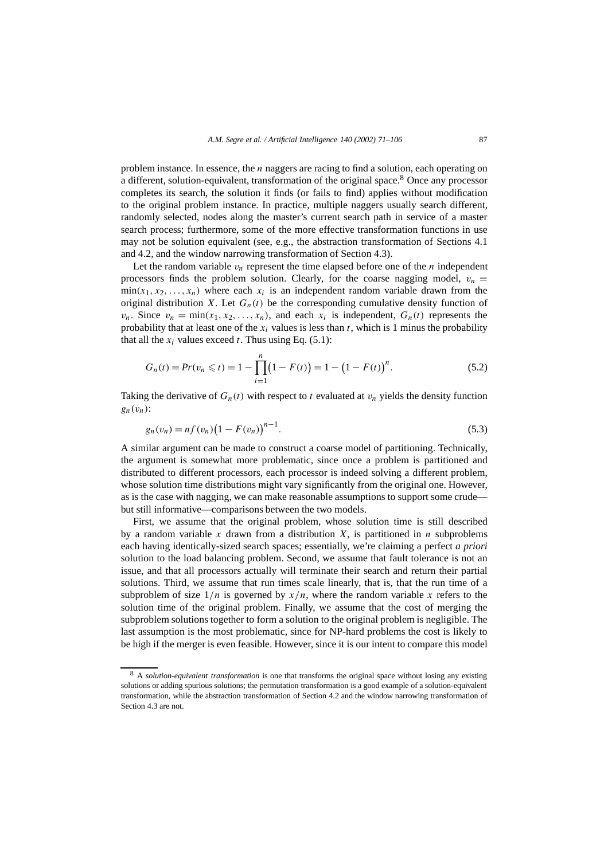problem instance. In essence, the *n* naggers are racing to find a solution, each operating on a different, solution-equivalent, transformation of the original space.<sup>8</sup> Once any processor completes its search, the solution it finds (or fails to find) applies without modification to the original problem instance. In practice, multiple naggers usually search different, randomly selected, nodes along the master's current search path in service of a master search process; furthermore, some of the more effective transformation functions in use may not be solution equivalent (see, e.g., the abstraction transformation of Sections 4.1 and 4.2, and the window narrowing transformation of Section 4.3).

Let the random variable  $v_n$  represent the time elapsed before one of the  $n$  independent processors finds the problem solution. Clearly, for the coarse nagging model,  $v_n$  =  $min(x_1, x_2, \ldots, x_n)$  where each  $x_i$  is an independent random variable drawn from the original distribution *X*. Let  $G_n(t)$  be the corresponding cumulative density function of  $v_n$ . Since  $v_n = \min(x_1, x_2, \ldots, x_n)$ , and each  $x_i$  is independent,  $G_n(t)$  represents the probability that at least one of the  $x_i$  values is less than  $t$ , which is 1 minus the probability that all the  $x_i$  values exceed *t*. Thus using Eq. (5.1):

$$
G_n(t) = Pr(v_n \leq t) = 1 - \prod_{i=1}^n (1 - F(t)) = 1 - (1 - F(t))^n.
$$
 (5.2)

Taking the derivative of  $G_n(t)$  with respect to *t* evaluated at  $v_n$  yields the density function *gn(vn)*:

$$
g_n(v_n) = nf(v_n)\big(1 - F(v_n)\big)^{n-1}.\tag{5.3}
$$

A similar argument can be made to construct a coarse model of partitioning. Technically, the argument is somewhat more problematic, since once a problem is partitioned and distributed to different processors, each processor is indeed solving a different problem, whose solution time distributions might vary significantly from the original one. However, as is the case with nagging, we can make reasonable assumptions to support some crude but still informative—comparisons between the two models.

First, we assume that the original problem, whose solution time is still described by a random variable *x* drawn from a distribution *X*, is partitioned in *n* subproblems each having identically-sized search spaces; essentially, we're claiming a perfect *a priori* solution to the load balancing problem. Second, we assume that fault tolerance is not an issue, and that all processors actually will terminate their search and return their partial solutions. Third, we assume that run times scale linearly, that is, that the run time of a subproblem of size  $1/n$  is governed by  $x/n$ , where the random variable x refers to the solution time of the original problem. Finally, we assume that the cost of merging the subproblem solutions together to form a solution to the original problem is negligible. The last assumption is the most problematic, since for NP-hard problems the cost is likely to be high if the merger is even feasible. However, since it is our intent to compare this model

<sup>8</sup> A *solution-equivalent transformation* is one that transforms the original space without losing any existing solutions or adding spurious solutions; the permutation transformation is a good example of a solution-equivalent transformation, while the abstraction transformation of Section 4.2 and the window narrowing transformation of Section 4.3 are not.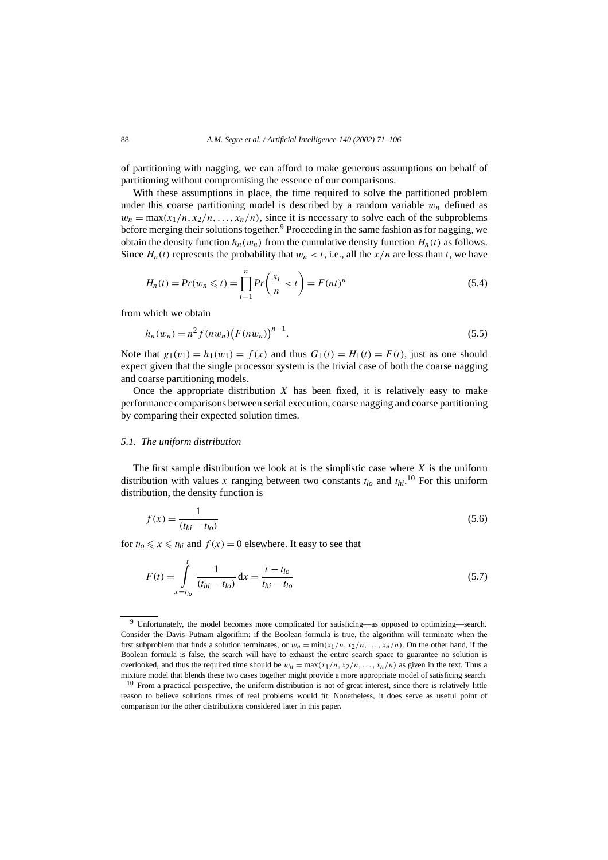of partitioning with nagging, we can afford to make generous assumptions on behalf of partitioning without compromising the essence of our comparisons.

With these assumptions in place, the time required to solve the partitioned problem under this coarse partitioning model is described by a random variable  $w_n$  defined as  $w_n = \max(x_1/n, x_2/n, \ldots, x_n/n)$ , since it is necessary to solve each of the subproblems before merging their solutions together.<sup>9</sup> Proceeding in the same fashion as for nagging, we obtain the density function  $h_n(w_n)$  from the cumulative density function  $H_n(t)$  as follows. Since  $H_n(t)$  represents the probability that  $w_n < t$ , i.e., all the  $x/n$  are less than *t*, we have

$$
H_n(t) = Pr(w_n \leq t) = \prod_{i=1}^n Pr\left(\frac{x_i}{n} < t\right) = F(nt)^n \tag{5.4}
$$

from which we obtain

$$
h_n(w_n) = n^2 f(nw_n) (F(nw_n))^{n-1}.
$$
\n(5.5)

Note that  $g_1(v_1) = h_1(w_1) = f(x)$  and thus  $G_1(t) = H_1(t) = F(t)$ , just as one should expect given that the single processor system is the trivial case of both the coarse nagging and coarse partitioning models.

Once the appropriate distribution  $X$  has been fixed, it is relatively easy to make performance comparisons between serial execution, coarse nagging and coarse partitioning by comparing their expected solution times.

# *5.1. The uniform distribution*

The first sample distribution we look at is the simplistic case where *X* is the uniform distribution with values x ranging between two constants  $t_{lo}$  and  $t_{hi}$ .<sup>10</sup> For this uniform distribution, the density function is

$$
f(x) = \frac{1}{(t_{hi} - t_{lo})}
$$
\n(5.6)

for  $t_{lo} \le x \le t_{hi}$  and  $f(x) = 0$  elsewhere. It easy to see that

$$
F(t) = \int_{x = t_{lo}}^{t} \frac{1}{(t_{hi} - t_{lo})} dx = \frac{t - t_{lo}}{t_{hi} - t_{lo}}
$$
(5.7)

<sup>9</sup> Unfortunately, the model becomes more complicated for satisficing—as opposed to optimizing—search. Consider the Davis–Putnam algorithm: if the Boolean formula is true, the algorithm will terminate when the first subproblem that finds a solution terminates, or  $w_n = \min(x_1/n, x_2/n, \ldots, x_n/n)$ . On the other hand, if the Boolean formula is false, the search will have to exhaust the entire search space to guarantee no solution is overlooked, and thus the required time should be  $w_n = \max(x_1/n, x_2/n, \ldots, x_n/n)$  as given in the text. Thus a mixture model that blends these two cases together might provide a more appropriate model of satisficing search.

 $10$  From a practical perspective, the uniform distribution is not of great interest, since there is relatively little reason to believe solutions times of real problems would fit. Nonetheless, it does serve as useful point of comparison for the other distributions considered later in this paper.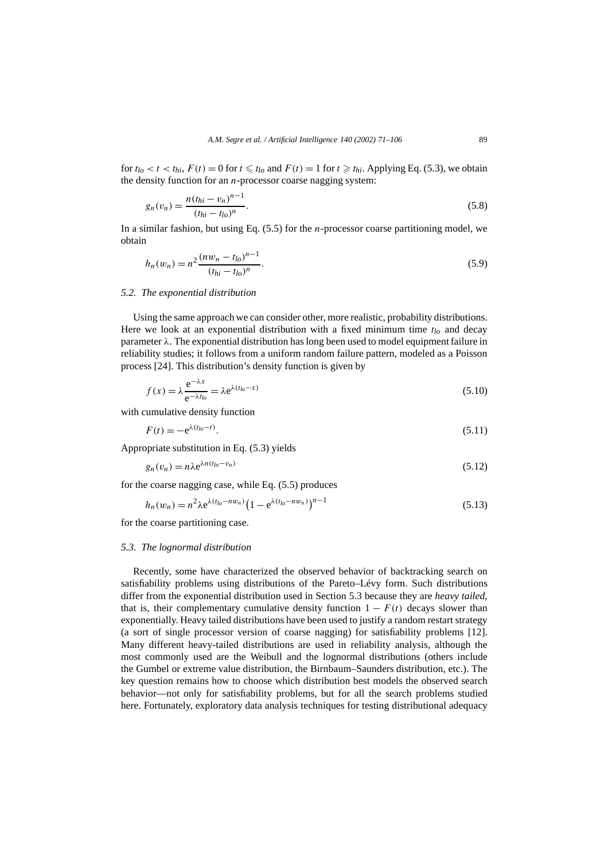for  $t_{lo} < t < t_{hi}$ ,  $F(t) = 0$  for  $t \leq t_{lo}$  and  $F(t) = 1$  for  $t \geq t_{hi}$ . Applying Eq. (5.3), we obtain the density function for an *n*-processor coarse nagging system:

$$
g_n(v_n) = \frac{n(t_{hi} - v_n)^{n-1}}{(t_{hi} - t_{lo})^n}.
$$
\n(5.8)

In a similar fashion, but using Eq. (5.5) for the *n*-processor coarse partitioning model, we obtain

$$
h_n(w_n) = n^2 \frac{(nw_n - t_{lo})^{n-1}}{(t_{hi} - t_{lo})^n}.
$$
\n(5.9)

#### *5.2. The exponential distribution*

Using the same approach we can consider other, more realistic, probability distributions. Here we look at an exponential distribution with a fixed minimum time *tlo* and decay parameter *λ*. The exponential distribution has long been used to model equipment failure in reliability studies; it follows from a uniform random failure pattern, modeled as a Poisson process [24]. This distribution's density function is given by

$$
f(x) = \lambda \frac{e^{-\lambda x}}{e^{-\lambda t_{lo}}} = \lambda e^{\lambda (t_{lo} - x)}
$$
\n(5.10)

with cumulative density function

$$
F(t) = -e^{\lambda(t_0 - t)}.\tag{5.11}
$$

Appropriate substitution in Eq. (5.3) yields

$$
g_n(v_n) = n\lambda e^{\lambda n(t_{lo} - v_n)}
$$
\n(5.12)

for the coarse nagging case, while Eq. (5.5) produces

$$
h_n(w_n) = n^2 \lambda e^{\lambda (t_{lo} - n w_n)} \left( 1 - e^{\lambda (t_{lo} - n w_n)} \right)^{n-1}
$$
\n(5.13)

for the coarse partitioning case.

#### *5.3. The lognormal distribution*

Recently, some have characterized the observed behavior of backtracking search on satisfiability problems using distributions of the Pareto–Lévy form. Such distributions differ from the exponential distribution used in Section 5.3 because they are *heavy tailed*, that is, their complementary cumulative density function  $1 - F(t)$  decays slower than exponentially. Heavy tailed distributions have been used to justify a random restart strategy (a sort of single processor version of coarse nagging) for satisfiability problems [12]. Many different heavy-tailed distributions are used in reliability analysis, although the most commonly used are the Weibull and the lognormal distributions (others include the Gumbel or extreme value distribution, the Birnbaum–Saunders distribution, etc.). The key question remains how to choose which distribution best models the observed search behavior—not only for satisfiability problems, but for all the search problems studied here. Fortunately, exploratory data analysis techniques for testing distributional adequacy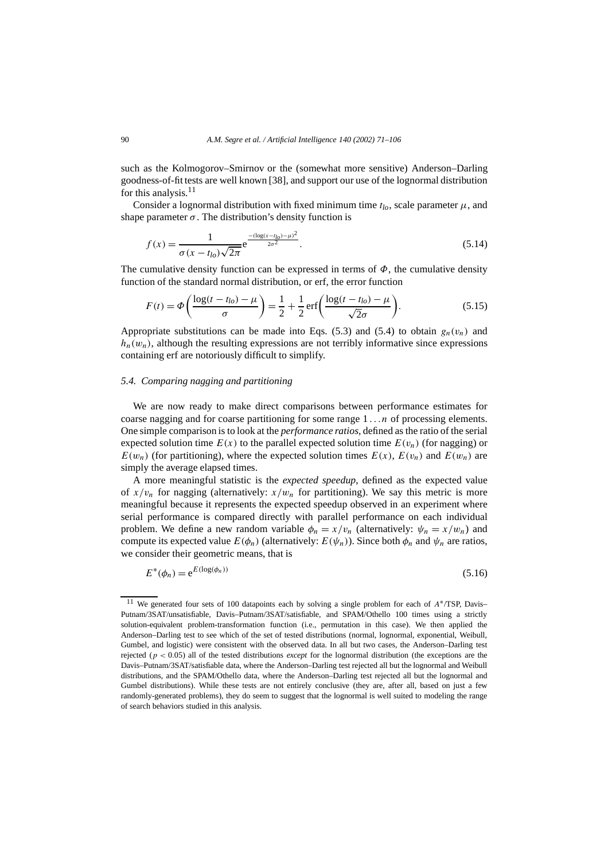such as the Kolmogorov–Smirnov or the (somewhat more sensitive) Anderson–Darling goodness-of-fit tests are well known [38], and support our use of the lognormal distribution for this analysis. $11$ 

Consider a lognormal distribution with fixed minimum time  $t_{l0}$ , scale parameter  $\mu$ , and shape parameter  $\sigma$ . The distribution's density function is

$$
f(x) = \frac{1}{\sigma(x - t_{lo})\sqrt{2\pi}} e^{\frac{-(\log(x - t_{lo}) - \mu)^2}{2\sigma^2}}.
$$
\n(5.14)

The cumulative density function can be expressed in terms of *Φ*, the cumulative density function of the standard normal distribution, or erf, the error function

$$
F(t) = \Phi\left(\frac{\log(t - t_{lo}) - \mu}{\sigma}\right) = \frac{1}{2} + \frac{1}{2}\operatorname{erf}\left(\frac{\log(t - t_{lo}) - \mu}{\sqrt{2}\sigma}\right).
$$
(5.15)

Appropriate substitutions can be made into Eqs. (5.3) and (5.4) to obtain  $g_n(v_n)$  and  $h_n(w_n)$ , although the resulting expressions are not terribly informative since expressions containing erf are notoriously difficult to simplify.

# *5.4. Comparing nagging and partitioning*

We are now ready to make direct comparisons between performance estimates for coarse nagging and for coarse partitioning for some range 1 *...n* of processing elements. One simple comparison is to look at the *performance ratios*, defined as the ratio of the serial expected solution time  $E(x)$  to the parallel expected solution time  $E(v_n)$  (for nagging) or  $E(w_n)$  (for partitioning), where the expected solution times  $E(x)$ ,  $E(v_n)$  and  $E(w_n)$  are simply the average elapsed times.

A more meaningful statistic is the *expected speedup*, defined as the expected value of  $x/v_n$  for nagging (alternatively:  $x/w_n$  for partitioning). We say this metric is more meaningful because it represents the expected speedup observed in an experiment where serial performance is compared directly with parallel performance on each individual problem. We define a new random variable  $\phi_n = x/v_n$  (alternatively:  $\psi_n = x/w_n$ ) and compute its expected value  $E(\phi_n)$  (alternatively:  $E(\psi_n)$ ). Since both  $\phi_n$  and  $\psi_n$  are ratios, we consider their geometric means, that is

$$
E^*(\phi_n) = e^{E(\log(\phi_n))}
$$
\n<sup>(5.16)</sup>

<sup>11</sup> We generated four sets of 100 datapoints each by solving a single problem for each of *A*∗/TSP, Davis– Putnam/3SAT/unsatisfiable, Davis–Putnam/3SAT/satisfiable, and SPAM/Othello 100 times using a strictly solution-equivalent problem-transformation function (i.e., permutation in this case). We then applied the Anderson–Darling test to see which of the set of tested distributions (normal, lognormal, exponential, Weibull, Gumbel, and logistic) were consistent with the observed data. In all but two cases, the Anderson–Darling test rejected (*p <* 0*.*05) all of the tested distributions *except* for the lognormal distribution (the exceptions are the Davis–Putnam/3SAT/satisfiable data, where the Anderson–Darling test rejected all but the lognormal and Weibull distributions, and the SPAM/Othello data, where the Anderson–Darling test rejected all but the lognormal and Gumbel distributions). While these tests are not entirely conclusive (they are, after all, based on just a few randomly-generated problems), they do seem to suggest that the lognormal is well suited to modeling the range of search behaviors studied in this analysis.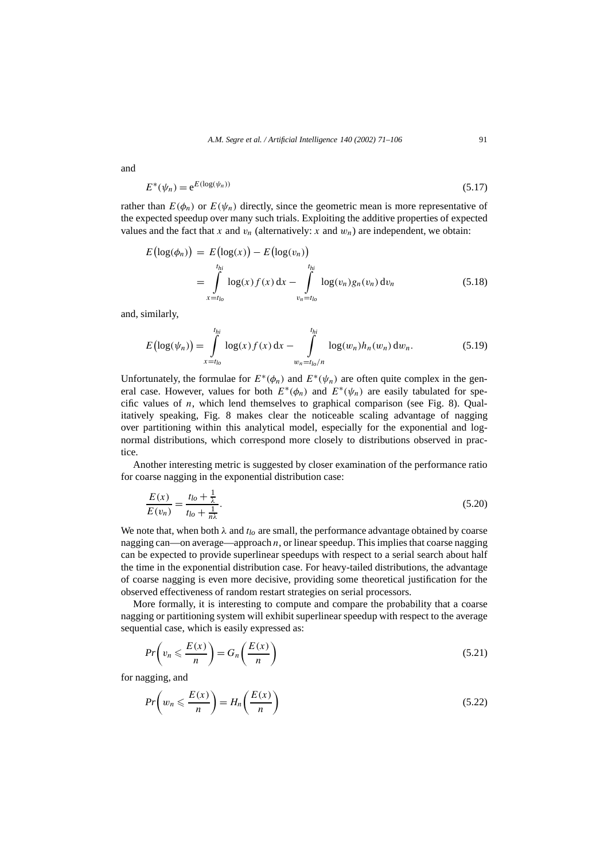and

$$
E^*(\psi_n) = e^{E(\log(\psi_n))} \tag{5.17}
$$

rather than  $E(\phi_n)$  or  $E(\psi_n)$  directly, since the geometric mean is more representative of the expected speedup over many such trials. Exploiting the additive properties of expected values and the fact that *x* and  $v_n$  (alternatively: *x* and  $w_n$ ) are independent, we obtain:

$$
E\left(\log(\phi_n)\right) = E\left(\log(x)\right) - E\left(\log(v_n)\right)
$$
  
= 
$$
\int_{x = t_{lo}}^{t_{hi}} \log(x) f(x) dx - \int_{v_n = t_{lo}}^{t_{hi}} \log(v_n) g_n(v_n) dv_n
$$
 (5.18)

and, similarly,

$$
E\left(\log(\psi_n)\right) = \int_{x=t_{lo}}^{t_{hi}} \log(x) f(x) \, dx - \int_{w_n = t_{lo}/n}^{t_{hi}} \log(w_n) h_n(w_n) \, dw_n. \tag{5.19}
$$

Unfortunately, the formulae for  $E^*(\phi_n)$  and  $E^*(\psi_n)$  are often quite complex in the general case. However, values for both  $E^*(\phi_n)$  and  $E^*(\psi_n)$  are easily tabulated for specific values of *n*, which lend themselves to graphical comparison (see Fig. 8). Qualitatively speaking, Fig. 8 makes clear the noticeable scaling advantage of nagging over partitioning within this analytical model, especially for the exponential and lognormal distributions, which correspond more closely to distributions observed in practice.

Another interesting metric is suggested by closer examination of the performance ratio for coarse nagging in the exponential distribution case:

$$
\frac{E(x)}{E(v_n)} = \frac{t_{lo} + \frac{1}{\lambda}}{t_{lo} + \frac{1}{n\lambda}}.\tag{5.20}
$$

We note that, when both  $\lambda$  and  $t_{l_0}$  are small, the performance advantage obtained by coarse nagging can—on average—approach *n*, or linear speedup. This implies that coarse nagging can be expected to provide superlinear speedups with respect to a serial search about half the time in the exponential distribution case. For heavy-tailed distributions, the advantage of coarse nagging is even more decisive, providing some theoretical justification for the observed effectiveness of random restart strategies on serial processors.

More formally, it is interesting to compute and compare the probability that a coarse nagging or partitioning system will exhibit superlinear speedup with respect to the average sequential case, which is easily expressed as:

$$
Pr\left(v_n \leqslant \frac{E(x)}{n}\right) = G_n\left(\frac{E(x)}{n}\right) \tag{5.21}
$$

for nagging, and

$$
Pr\left(w_n \leqslant \frac{E(x)}{n}\right) = H_n\left(\frac{E(x)}{n}\right) \tag{5.22}
$$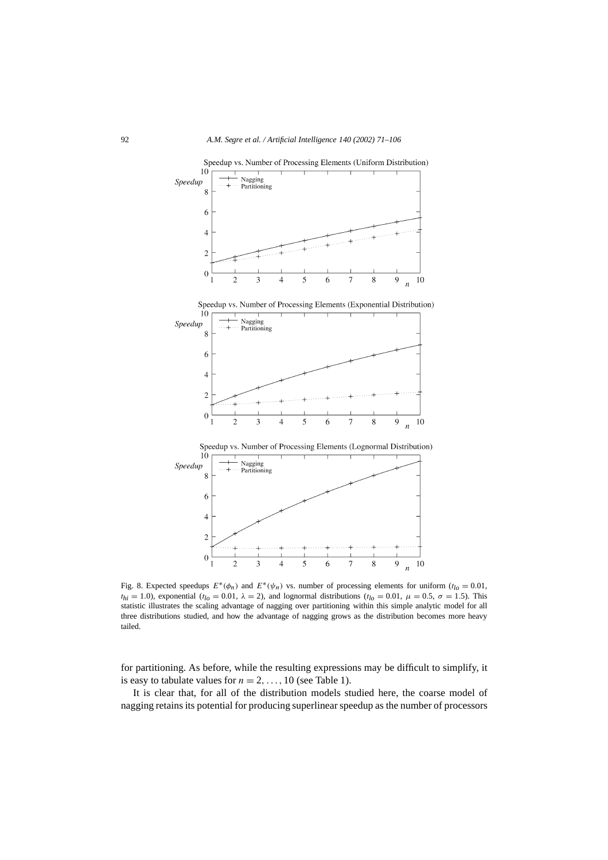

Speedup vs. Number of Processing Elements (Uniform Distribution)

Fig. 8. Expected speedups  $E^*(\phi_n)$  and  $E^*(\psi_n)$  vs. number of processing elements for uniform  $(t_{l0} = 0.01,$  $t_{hi} = 1.0$ ), exponential  $(t_{lo} = 0.01, \lambda = 2)$ , and lognormal distributions  $(t_{lo} = 0.01, \mu = 0.5, \sigma = 1.5)$ . This statistic illustrates the scaling advantage of nagging over partitioning within this simple analytic model for all three distributions studied, and how the advantage of nagging grows as the distribution becomes more heavy tailed.

for partitioning. As before, while the resulting expressions may be difficult to simplify, it is easy to tabulate values for  $n = 2, ..., 10$  (see Table 1).

It is clear that, for all of the distribution models studied here, the coarse model of nagging retains its potential for producing superlinear speedup as the number of processors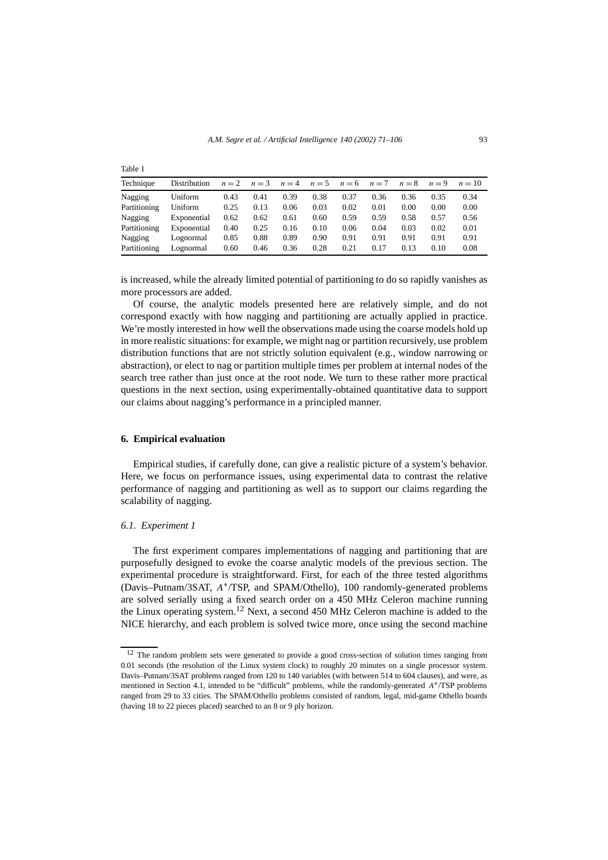| Technique    | Distribution |      |      |      |                   |      |      |      |      | $n=2$ $n=3$ $n=4$ $n=5$ $n=6$ $n=7$ $n=8$ $n=9$ $n=10$ |
|--------------|--------------|------|------|------|-------------------|------|------|------|------|--------------------------------------------------------|
| Nagging      | Uniform      | 0.43 | 0.41 | 0.39 | 0.38              | 0.37 | 0.36 | 0.36 | 0.35 | 0.34                                                   |
| Partitioning | Uniform      | 0.25 | 0.13 | 0.06 | 0.03              | 0.02 | 0.01 | 0.00 | 0.00 | 0.00                                                   |
| Nagging      | Exponential  | 0.62 | 0.62 | 0.61 | 0.60              | 0.59 | 0.59 | 0.58 | 0.57 | 0.56                                                   |
| Partitioning | Exponential  | 0.40 | 0.25 | 0.16 | 0.10              | 0.06 | 0.04 | 0.03 | 0.02 | 0.01                                                   |
| Nagging      | Lognormal    | 0.85 | 0.88 | 0.89 | 0.90 <sub>1</sub> | 0.91 | 0.91 | 0.91 | 0.91 | 0.91                                                   |
| Partitioning | Lognormal    | 0.60 | 0.46 | 0.36 | 0.28              | 0.21 | 0.17 | 0.13 | 0.10 | 0.08                                                   |

Table 1

is increased, while the already limited potential of partitioning to do so rapidly vanishes as more processors are added.

Of course, the analytic models presented here are relatively simple, and do not correspond exactly with how nagging and partitioning are actually applied in practice. We're mostly interested in how well the observations made using the coarse models hold up in more realistic situations: for example, we might nag or partition recursively, use problem distribution functions that are not strictly solution equivalent (e.g., window narrowing or abstraction), or elect to nag or partition multiple times per problem at internal nodes of the search tree rather than just once at the root node. We turn to these rather more practical questions in the next section, using experimentally-obtained quantitative data to support our claims about nagging's performance in a principled manner.

## **6. Empirical evaluation**

Empirical studies, if carefully done, can give a realistic picture of a system's behavior. Here, we focus on performance issues, using experimental data to contrast the relative performance of nagging and partitioning as well as to support our claims regarding the scalability of nagging.

## *6.1. Experiment 1*

The first experiment compares implementations of nagging and partitioning that are purposefully designed to evoke the coarse analytic models of the previous section. The experimental procedure is straightforward. First, for each of the three tested algorithms (Davis–Putnam/3SAT, *A*∗/TSP, and SPAM/Othello), 100 randomly-generated problems are solved serially using a fixed search order on a 450 MHz Celeron machine running the Linux operating system.<sup>12</sup> Next, a second 450 MHz Celeron machine is added to the NICE hierarchy, and each problem is solved twice more, once using the second machine

<sup>12</sup> The random problem sets were generated to provide a good cross-section of solution times ranging from 0.01 seconds (the resolution of the Linux system clock) to roughly 20 minutes on a single processor system. Davis–Putnam/3SAT problems ranged from 120 to 140 variables (with between 514 to 604 clauses), and were, as mentioned in Section 4.1, intended to be "difficult" problems, while the randomly-generated *A*∗/TSP problems ranged from 29 to 33 cities. The SPAM/Othello problems consisted of random, legal, mid-game Othello boards (having 18 to 22 pieces placed) searched to an 8 or 9 ply horizon.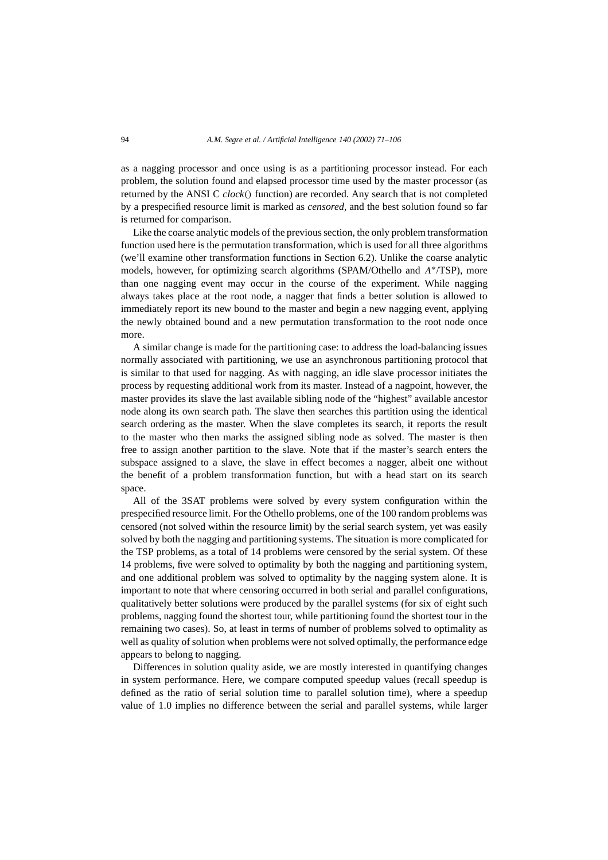as a nagging processor and once using is as a partitioning processor instead. For each problem, the solution found and elapsed processor time used by the master processor (as returned by the ANSI C *clock()* function) are recorded. Any search that is not completed by a prespecified resource limit is marked as *censored*, and the best solution found so far is returned for comparison.

Like the coarse analytic models of the previous section, the only problem transformation function used here is the permutation transformation, which is used for all three algorithms (we'll examine other transformation functions in Section 6.2). Unlike the coarse analytic models, however, for optimizing search algorithms (SPAM/Othello and *A*∗/TSP), more than one nagging event may occur in the course of the experiment. While nagging always takes place at the root node, a nagger that finds a better solution is allowed to immediately report its new bound to the master and begin a new nagging event, applying the newly obtained bound and a new permutation transformation to the root node once more.

A similar change is made for the partitioning case: to address the load-balancing issues normally associated with partitioning, we use an asynchronous partitioning protocol that is similar to that used for nagging. As with nagging, an idle slave processor initiates the process by requesting additional work from its master. Instead of a nagpoint, however, the master provides its slave the last available sibling node of the "highest" available ancestor node along its own search path. The slave then searches this partition using the identical search ordering as the master. When the slave completes its search, it reports the result to the master who then marks the assigned sibling node as solved. The master is then free to assign another partition to the slave. Note that if the master's search enters the subspace assigned to a slave, the slave in effect becomes a nagger, albeit one without the benefit of a problem transformation function, but with a head start on its search space.

All of the 3SAT problems were solved by every system configuration within the prespecified resource limit. For the Othello problems, one of the 100 random problems was censored (not solved within the resource limit) by the serial search system, yet was easily solved by both the nagging and partitioning systems. The situation is more complicated for the TSP problems, as a total of 14 problems were censored by the serial system. Of these 14 problems, five were solved to optimality by both the nagging and partitioning system, and one additional problem was solved to optimality by the nagging system alone. It is important to note that where censoring occurred in both serial and parallel configurations, qualitatively better solutions were produced by the parallel systems (for six of eight such problems, nagging found the shortest tour, while partitioning found the shortest tour in the remaining two cases). So, at least in terms of number of problems solved to optimality as well as quality of solution when problems were not solved optimally, the performance edge appears to belong to nagging.

Differences in solution quality aside, we are mostly interested in quantifying changes in system performance. Here, we compare computed speedup values (recall speedup is defined as the ratio of serial solution time to parallel solution time), where a speedup value of 1*.*0 implies no difference between the serial and parallel systems, while larger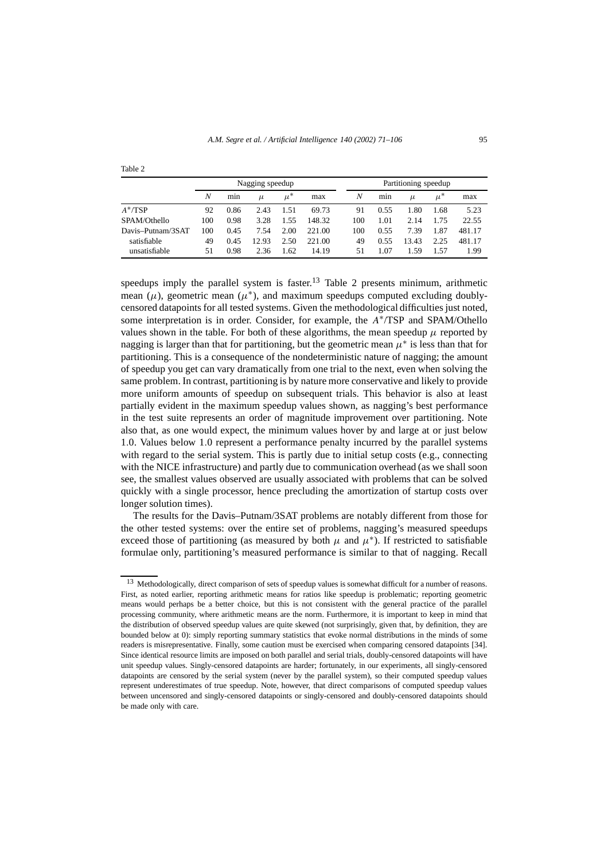|                   | Nagging speedup |      |       |         |        |  | Partitioning speedup |      |       |         |        |  |
|-------------------|-----------------|------|-------|---------|--------|--|----------------------|------|-------|---------|--------|--|
|                   | N               | min  | $\mu$ | $\mu^*$ | max    |  | N                    | min  | $\mu$ | $\mu^*$ | max    |  |
| $A^*$ /TSP        | 92              | 0.86 | 2.43  | 1.51    | 69.73  |  | 91                   | 0.55 | 1.80  | 1.68    | 5.23   |  |
| SPAM/Othello      | 100             | 0.98 | 3.28  | 1.55    | 148.32 |  | 100                  | 1.01 | 2.14  | 1.75    | 22.55  |  |
| Davis-Putnam/3SAT | 100             | 0.45 | 7.54  | 2.00    | 221.00 |  | 100                  | 0.55 | 7.39  | 1.87    | 481.17 |  |
| satisfiable       | 49              | 0.45 | 12.93 | 2.50    | 221.00 |  | 49                   | 0.55 | 13.43 | 2.25    | 481.17 |  |
| unsatisfiable     | 51              | 0.98 | 2.36  | 1.62    | 14.19  |  | 51                   | 1.07 | 1.59  | 1.57    | 1.99   |  |

speedups imply the parallel system is faster.<sup>13</sup> Table 2 presents minimum, arithmetic mean  $(\mu)$ , geometric mean  $(\mu^*)$ , and maximum speedups computed excluding doublycensored datapoints for all tested systems. Given the methodological difficulties just noted, some interpretation is in order. Consider, for example, the *A*∗/TSP and SPAM/Othello values shown in the table. For both of these algorithms, the mean speedup  $\mu$  reported by nagging is larger than that for partitioning, but the geometric mean  $\mu^*$  is less than that for partitioning. This is a consequence of the nondeterministic nature of nagging; the amount of speedup you get can vary dramatically from one trial to the next, even when solving the same problem. In contrast, partitioning is by nature more conservative and likely to provide more uniform amounts of speedup on subsequent trials. This behavior is also at least partially evident in the maximum speedup values shown, as nagging's best performance in the test suite represents an order of magnitude improvement over partitioning. Note also that, as one would expect, the minimum values hover by and large at or just below 1*.*0. Values below 1*.*0 represent a performance penalty incurred by the parallel systems with regard to the serial system. This is partly due to initial setup costs (e.g., connecting with the NICE infrastructure) and partly due to communication overhead (as we shall soon see, the smallest values observed are usually associated with problems that can be solved quickly with a single processor, hence precluding the amortization of startup costs over longer solution times).

The results for the Davis–Putnam/3SAT problems are notably different from those for the other tested systems: over the entire set of problems, nagging's measured speedups exceed those of partitioning (as measured by both  $\mu$  and  $\mu^*$ ). If restricted to satisfiable formulae only, partitioning's measured performance is similar to that of nagging. Recall

Table 2

<sup>&</sup>lt;sup>13</sup> Methodologically, direct comparison of sets of speedup values is somewhat difficult for a number of reasons. First, as noted earlier, reporting arithmetic means for ratios like speedup is problematic; reporting geometric means would perhaps be a better choice, but this is not consistent with the general practice of the parallel processing community, where arithmetic means are the norm. Furthermore, it is important to keep in mind that the distribution of observed speedup values are quite skewed (not surprisingly, given that, by definition, they are bounded below at 0): simply reporting summary statistics that evoke normal distributions in the minds of some readers is misrepresentative. Finally, some caution must be exercised when comparing censored datapoints [34]. Since identical resource limits are imposed on both parallel and serial trials, doubly-censored datapoints will have unit speedup values. Singly-censored datapoints are harder; fortunately, in our experiments, all singly-censored datapoints are censored by the serial system (never by the parallel system), so their computed speedup values represent underestimates of true speedup. Note, however, that direct comparisons of computed speedup values between uncensored and singly-censored datapoints or singly-censored and doubly-censored datapoints should be made only with care.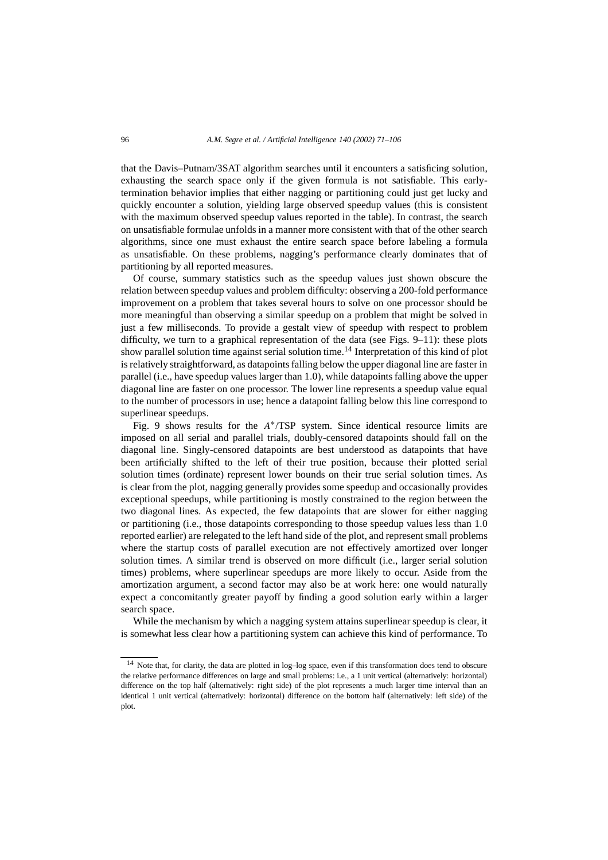that the Davis–Putnam/3SAT algorithm searches until it encounters a satisficing solution, exhausting the search space only if the given formula is not satisfiable. This earlytermination behavior implies that either nagging or partitioning could just get lucky and quickly encounter a solution, yielding large observed speedup values (this is consistent with the maximum observed speedup values reported in the table). In contrast, the search on unsatisfiable formulae unfolds in a manner more consistent with that of the other search algorithms, since one must exhaust the entire search space before labeling a formula as unsatisfiable. On these problems, nagging's performance clearly dominates that of partitioning by all reported measures.

Of course, summary statistics such as the speedup values just shown obscure the relation between speedup values and problem difficulty: observing a 200-fold performance improvement on a problem that takes several hours to solve on one processor should be more meaningful than observing a similar speedup on a problem that might be solved in just a few milliseconds. To provide a gestalt view of speedup with respect to problem difficulty, we turn to a graphical representation of the data (see Figs. 9–11): these plots show parallel solution time against serial solution time.<sup>14</sup> Interpretation of this kind of plot is relatively straightforward, as datapoints falling below the upper diagonal line are faster in parallel (i.e., have speedup values larger than 1*.*0), while datapoints falling above the upper diagonal line are faster on one processor. The lower line represents a speedup value equal to the number of processors in use; hence a datapoint falling below this line correspond to superlinear speedups.

Fig. 9 shows results for the *A*∗/TSP system. Since identical resource limits are imposed on all serial and parallel trials, doubly-censored datapoints should fall on the diagonal line. Singly-censored datapoints are best understood as datapoints that have been artificially shifted to the left of their true position, because their plotted serial solution times (ordinate) represent lower bounds on their true serial solution times. As is clear from the plot, nagging generally provides some speedup and occasionally provides exceptional speedups, while partitioning is mostly constrained to the region between the two diagonal lines. As expected, the few datapoints that are slower for either nagging or partitioning (i.e., those datapoints corresponding to those speedup values less than 1*.*0 reported earlier) are relegated to the left hand side of the plot, and represent small problems where the startup costs of parallel execution are not effectively amortized over longer solution times. A similar trend is observed on more difficult (i.e., larger serial solution times) problems, where superlinear speedups are more likely to occur. Aside from the amortization argument, a second factor may also be at work here: one would naturally expect a concomitantly greater payoff by finding a good solution early within a larger search space.

While the mechanism by which a nagging system attains superlinear speedup is clear, it is somewhat less clear how a partitioning system can achieve this kind of performance. To

<sup>14</sup> Note that, for clarity, the data are plotted in log–log space, even if this transformation does tend to obscure the relative performance differences on large and small problems: i.e., a 1 unit vertical (alternatively: horizontal) difference on the top half (alternatively: right side) of the plot represents a much larger time interval than an identical 1 unit vertical (alternatively: horizontal) difference on the bottom half (alternatively: left side) of the plot.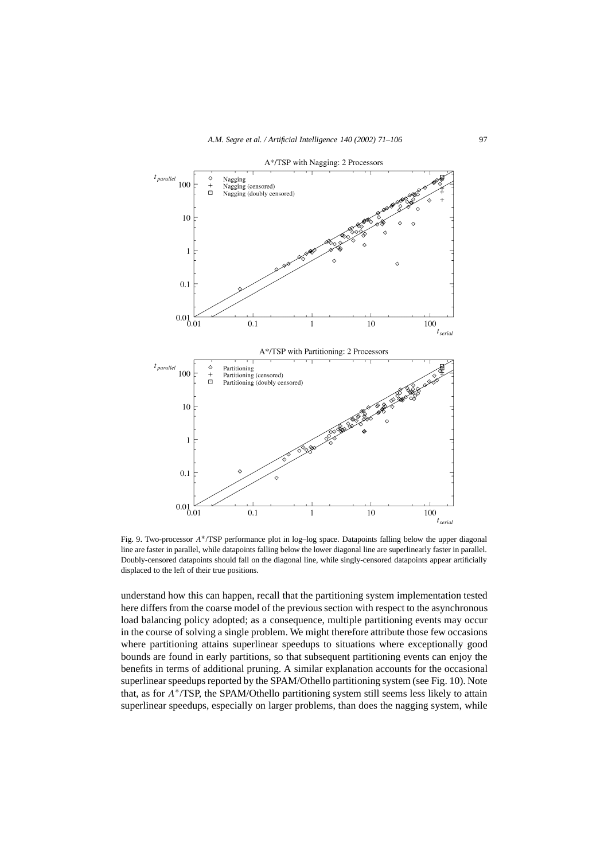

Fig. 9. Two-processor *A*∗/TSP performance plot in log–log space. Datapoints falling below the upper diagonal line are faster in parallel, while datapoints falling below the lower diagonal line are superlinearly faster in parallel. Doubly-censored datapoints should fall on the diagonal line, while singly-censored datapoints appear artificially displaced to the left of their true positions.

understand how this can happen, recall that the partitioning system implementation tested here differs from the coarse model of the previous section with respect to the asynchronous load balancing policy adopted; as a consequence, multiple partitioning events may occur in the course of solving a single problem. We might therefore attribute those few occasions where partitioning attains superlinear speedups to situations where exceptionally good bounds are found in early partitions, so that subsequent partitioning events can enjoy the benefits in terms of additional pruning. A similar explanation accounts for the occasional superlinear speedups reported by the SPAM/Othello partitioning system (see Fig. 10). Note that, as for *A*∗/TSP, the SPAM/Othello partitioning system still seems less likely to attain superlinear speedups, especially on larger problems, than does the nagging system, while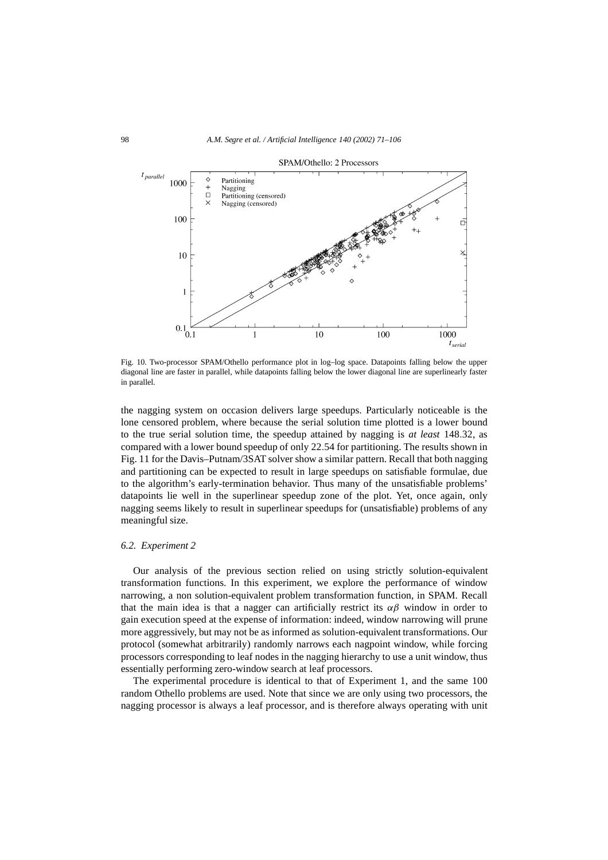

Fig. 10. Two-processor SPAM/Othello performance plot in log–log space. Datapoints falling below the upper diagonal line are faster in parallel, while datapoints falling below the lower diagonal line are superlinearly faster in parallel.

the nagging system on occasion delivers large speedups. Particularly noticeable is the lone censored problem, where because the serial solution time plotted is a lower bound to the true serial solution time, the speedup attained by nagging is *at least* 148*.*32, as compared with a lower bound speedup of only 22*.*54 for partitioning. The results shown in Fig. 11 for the Davis–Putnam/3SAT solver show a similar pattern. Recall that both nagging and partitioning can be expected to result in large speedups on satisfiable formulae, due to the algorithm's early-termination behavior. Thus many of the unsatisfiable problems' datapoints lie well in the superlinear speedup zone of the plot. Yet, once again, only nagging seems likely to result in superlinear speedups for (unsatisfiable) problems of any meaningful size.

## *6.2. Experiment 2*

Our analysis of the previous section relied on using strictly solution-equivalent transformation functions. In this experiment, we explore the performance of window narrowing, a non solution-equivalent problem transformation function, in SPAM. Recall that the main idea is that a nagger can artificially restrict its  $\alpha\beta$  window in order to gain execution speed at the expense of information: indeed, window narrowing will prune more aggressively, but may not be as informed as solution-equivalent transformations. Our protocol (somewhat arbitrarily) randomly narrows each nagpoint window, while forcing processors corresponding to leaf nodes in the nagging hierarchy to use a unit window, thus essentially performing zero-window search at leaf processors.

The experimental procedure is identical to that of Experiment 1, and the same 100 random Othello problems are used. Note that since we are only using two processors, the nagging processor is always a leaf processor, and is therefore always operating with unit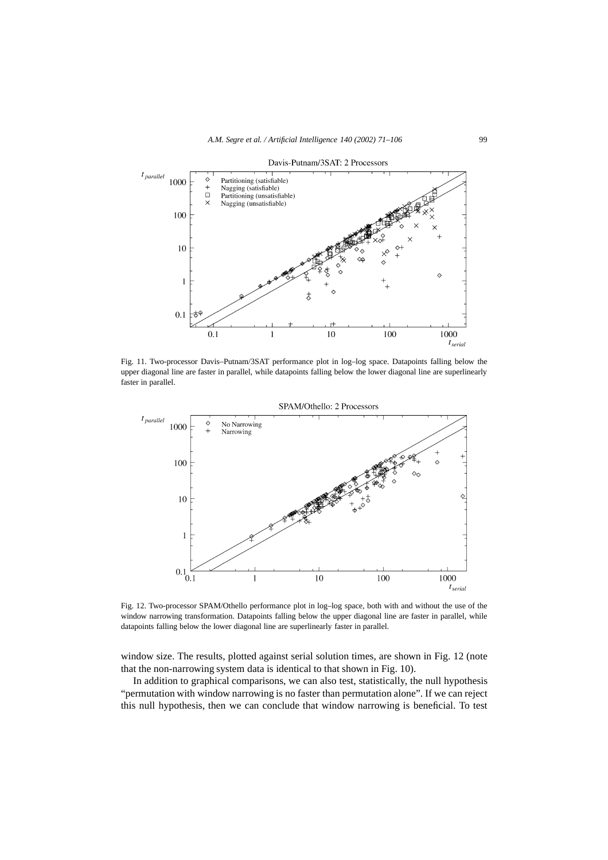

Fig. 11. Two-processor Davis–Putnam/3SAT performance plot in log–log space. Datapoints falling below the upper diagonal line are faster in parallel, while datapoints falling below the lower diagonal line are superlinearly faster in parallel.



Fig. 12. Two-processor SPAM/Othello performance plot in log–log space, both with and without the use of the window narrowing transformation. Datapoints falling below the upper diagonal line are faster in parallel, while datapoints falling below the lower diagonal line are superlinearly faster in parallel.

window size. The results, plotted against serial solution times, are shown in Fig. 12 (note that the non-narrowing system data is identical to that shown in Fig. 10).

In addition to graphical comparisons, we can also test, statistically, the null hypothesis "permutation with window narrowing is no faster than permutation alone". If we can reject this null hypothesis, then we can conclude that window narrowing is beneficial. To test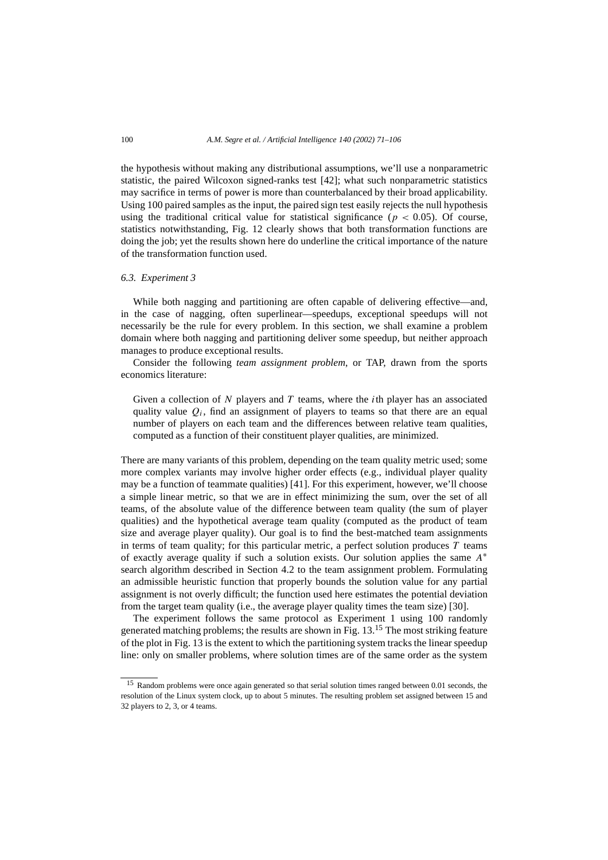the hypothesis without making any distributional assumptions, we'll use a nonparametric statistic, the paired Wilcoxon signed-ranks test [42]; what such nonparametric statistics may sacrifice in terms of power is more than counterbalanced by their broad applicability. Using 100 paired samples as the input, the paired sign test easily rejects the null hypothesis using the traditional critical value for statistical significance ( $p < 0.05$ ). Of course, statistics notwithstanding, Fig. 12 clearly shows that both transformation functions are doing the job; yet the results shown here do underline the critical importance of the nature of the transformation function used.

## *6.3. Experiment 3*

While both nagging and partitioning are often capable of delivering effective—and, in the case of nagging, often superlinear—speedups, exceptional speedups will not necessarily be the rule for every problem. In this section, we shall examine a problem domain where both nagging and partitioning deliver some speedup, but neither approach manages to produce exceptional results.

Consider the following *team assignment problem*, or TAP, drawn from the sports economics literature:

Given a collection of *N* players and *T* teams, where the *i*th player has an associated quality value  $Q_i$ , find an assignment of players to teams so that there are an equal number of players on each team and the differences between relative team qualities, computed as a function of their constituent player qualities, are minimized.

There are many variants of this problem, depending on the team quality metric used; some more complex variants may involve higher order effects (e.g., individual player quality may be a function of teammate qualities) [41]. For this experiment, however, we'll choose a simple linear metric, so that we are in effect minimizing the sum, over the set of all teams, of the absolute value of the difference between team quality (the sum of player qualities) and the hypothetical average team quality (computed as the product of team size and average player quality). Our goal is to find the best-matched team assignments in terms of team quality; for this particular metric, a perfect solution produces *T* teams of exactly average quality if such a solution exists. Our solution applies the same *A*<sup>∗</sup> search algorithm described in Section 4.2 to the team assignment problem. Formulating an admissible heuristic function that properly bounds the solution value for any partial assignment is not overly difficult; the function used here estimates the potential deviation from the target team quality (i.e., the average player quality times the team size) [30].

The experiment follows the same protocol as Experiment 1 using 100 randomly generated matching problems; the results are shown in Fig. 13.<sup>15</sup> The most striking feature of the plot in Fig. 13 is the extent to which the partitioning system tracks the linear speedup line: only on smaller problems, where solution times are of the same order as the system

<sup>&</sup>lt;sup>15</sup> Random problems were once again generated so that serial solution times ranged between 0.01 seconds, the resolution of the Linux system clock, up to about 5 minutes. The resulting problem set assigned between 15 and 32 players to 2, 3, or 4 teams.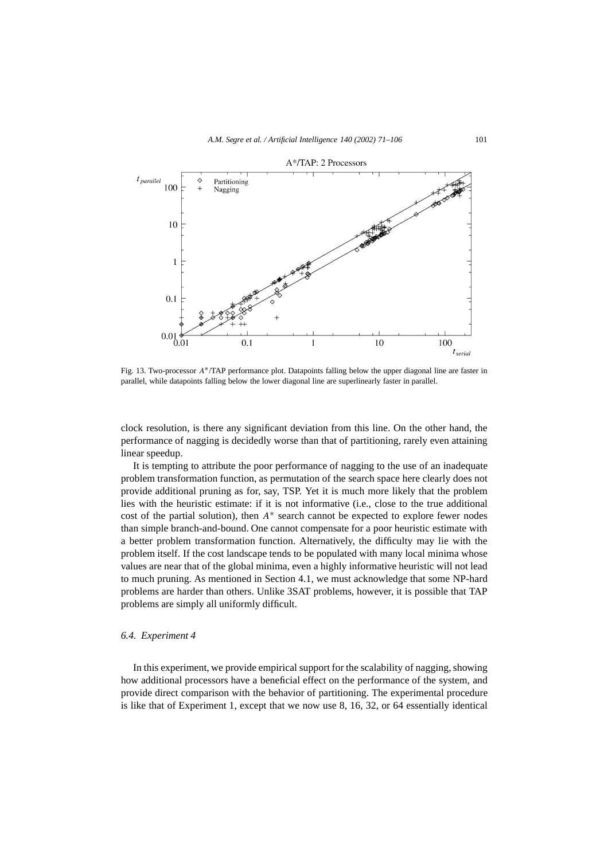

Fig. 13. Two-processor *A*∗/TAP performance plot. Datapoints falling below the upper diagonal line are faster in parallel, while datapoints falling below the lower diagonal line are superlinearly faster in parallel.

clock resolution, is there any significant deviation from this line. On the other hand, the performance of nagging is decidedly worse than that of partitioning, rarely even attaining linear speedup.

It is tempting to attribute the poor performance of nagging to the use of an inadequate problem transformation function, as permutation of the search space here clearly does not provide additional pruning as for, say, TSP. Yet it is much more likely that the problem lies with the heuristic estimate: if it is not informative (i.e., close to the true additional cost of the partial solution), then *A*<sup>∗</sup> search cannot be expected to explore fewer nodes than simple branch-and-bound. One cannot compensate for a poor heuristic estimate with a better problem transformation function. Alternatively, the difficulty may lie with the problem itself. If the cost landscape tends to be populated with many local minima whose values are near that of the global minima, even a highly informative heuristic will not lead to much pruning. As mentioned in Section 4.1, we must acknowledge that some NP-hard problems are harder than others. Unlike 3SAT problems, however, it is possible that TAP problems are simply all uniformly difficult.

# *6.4. Experiment 4*

In this experiment, we provide empirical support for the scalability of nagging, showing how additional processors have a beneficial effect on the performance of the system, and provide direct comparison with the behavior of partitioning. The experimental procedure is like that of Experiment 1, except that we now use 8, 16, 32, or 64 essentially identical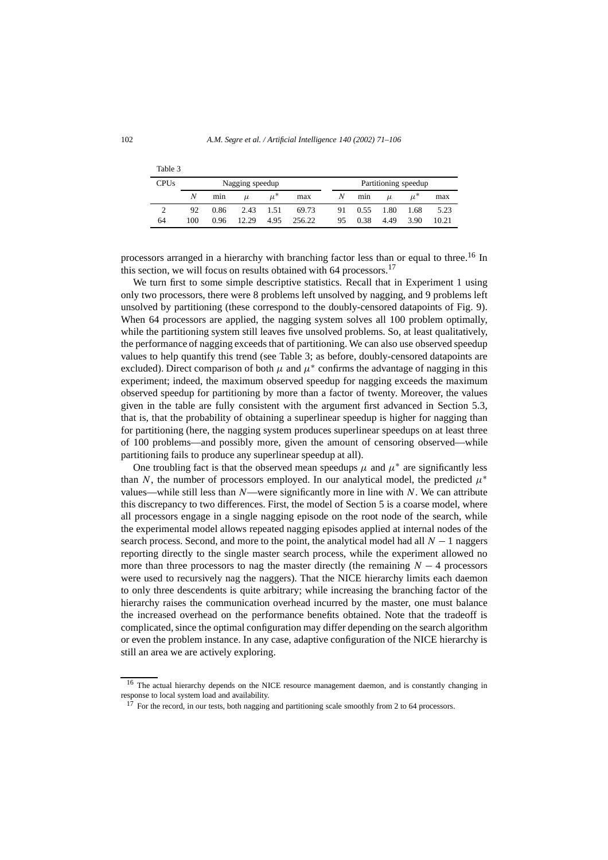| 100100      |                 |      |       |         |        |  |                      |      |       |         |       |  |
|-------------|-----------------|------|-------|---------|--------|--|----------------------|------|-------|---------|-------|--|
| <b>CPUs</b> | Nagging speedup |      |       |         |        |  | Partitioning speedup |      |       |         |       |  |
|             | N               | min  | $\mu$ | $\mu^*$ | max    |  | N                    | min  | $\mu$ | $\mu^*$ | max   |  |
|             | 92              | 0.86 | 2.43  | 1.51    | 69.73  |  | 91                   | 0.55 | 1.80  | 1.68    | 5.23  |  |
| 64          | 100             | 0.96 | 12.29 | 4.95    | 256.22 |  | 95                   | 0.38 | 4.49  | 3.90    | 10.21 |  |

processors arranged in a hierarchy with branching factor less than or equal to three.<sup>16</sup> In this section, we will focus on results obtained with  $64$  processors.<sup>17</sup>

We turn first to some simple descriptive statistics. Recall that in Experiment 1 using only two processors, there were 8 problems left unsolved by nagging, and 9 problems left unsolved by partitioning (these correspond to the doubly-censored datapoints of Fig. 9). When 64 processors are applied, the nagging system solves all 100 problem optimally, while the partitioning system still leaves five unsolved problems. So, at least qualitatively, the performance of nagging exceeds that of partitioning. We can also use observed speedup values to help quantify this trend (see Table 3; as before, doubly-censored datapoints are excluded). Direct comparison of both  $\mu$  and  $\mu^*$  confirms the advantage of nagging in this experiment; indeed, the maximum observed speedup for nagging exceeds the maximum observed speedup for partitioning by more than a factor of twenty. Moreover, the values given in the table are fully consistent with the argument first advanced in Section 5.3, that is, that the probability of obtaining a superlinear speedup is higher for nagging than for partitioning (here, the nagging system produces superlinear speedups on at least three of 100 problems—and possibly more, given the amount of censoring observed—while partitioning fails to produce any superlinear speedup at all).

One troubling fact is that the observed mean speedups  $\mu$  and  $\mu^*$  are significantly less than *N*, the number of processors employed. In our analytical model, the predicted  $\mu^*$ values—while still less than *N*—were significantly more in line with *N*. We can attribute this discrepancy to two differences. First, the model of Section 5 is a coarse model, where all processors engage in a single nagging episode on the root node of the search, while the experimental model allows repeated nagging episodes applied at internal nodes of the search process. Second, and more to the point, the analytical model had all  $N - 1$  naggers reporting directly to the single master search process, while the experiment allowed no more than three processors to nag the master directly (the remaining  $N - 4$  processors were used to recursively nag the naggers). That the NICE hierarchy limits each daemon to only three descendents is quite arbitrary; while increasing the branching factor of the hierarchy raises the communication overhead incurred by the master, one must balance the increased overhead on the performance benefits obtained. Note that the tradeoff is complicated, since the optimal configuration may differ depending on the search algorithm or even the problem instance. In any case, adaptive configuration of the NICE hierarchy is still an area we are actively exploring.

Table 3

<sup>&</sup>lt;sup>16</sup> The actual hierarchy depends on the NICE resource management daemon, and is constantly changing in response to local system load and availability.

 $1<sup>7</sup>$  For the record, in our tests, both nagging and partitioning scale smoothly from 2 to 64 processors.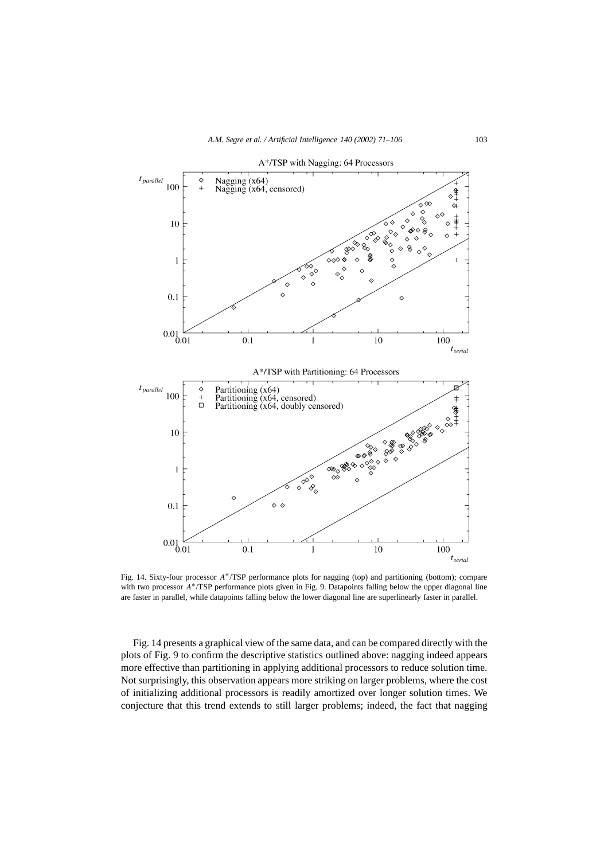

A\*/TSP with Nagging: 64 Processors

Fig. 14. Sixty-four processor *A*∗/TSP performance plots for nagging (top) and partitioning (bottom); compare with two processor *A*<sup>∗</sup>/TSP performance plots given in Fig. 9. Datapoints falling below the upper diagonal line are faster in parallel, while datapoints falling below the lower diagonal line are superlinearly faster in parallel.

Fig. 14 presents a graphical view of the same data, and can be compared directly with the plots of Fig. 9 to confirm the descriptive statistics outlined above: nagging indeed appears more effective than partitioning in applying additional processors to reduce solution time. Not surprisingly, this observation appears more striking on larger problems, where the cost of initializing additional processors is readily amortized over longer solution times. We conjecture that this trend extends to still larger problems; indeed, the fact that nagging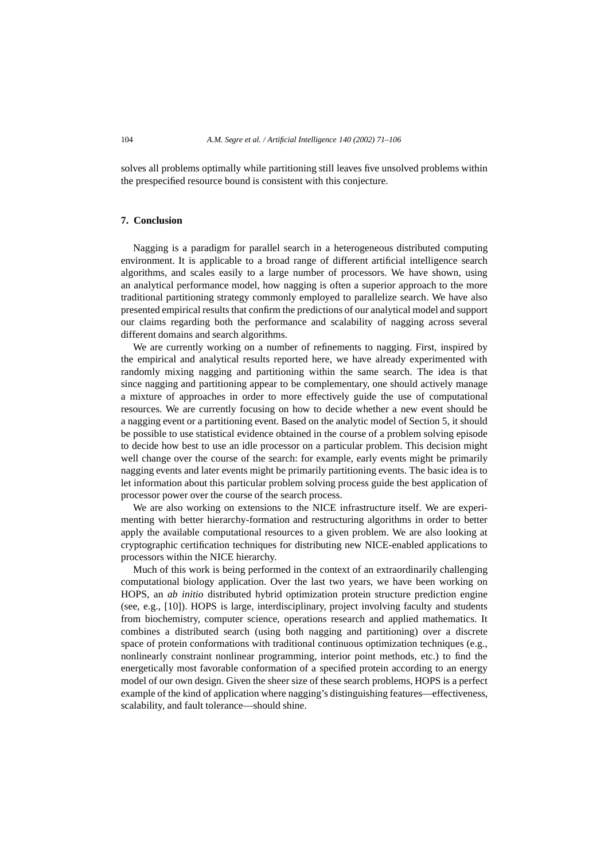solves all problems optimally while partitioning still leaves five unsolved problems within the prespecified resource bound is consistent with this conjecture.

# **7. Conclusion**

Nagging is a paradigm for parallel search in a heterogeneous distributed computing environment. It is applicable to a broad range of different artificial intelligence search algorithms, and scales easily to a large number of processors. We have shown, using an analytical performance model, how nagging is often a superior approach to the more traditional partitioning strategy commonly employed to parallelize search. We have also presented empirical results that confirm the predictions of our analytical model and support our claims regarding both the performance and scalability of nagging across several different domains and search algorithms.

We are currently working on a number of refinements to nagging. First, inspired by the empirical and analytical results reported here, we have already experimented with randomly mixing nagging and partitioning within the same search. The idea is that since nagging and partitioning appear to be complementary, one should actively manage a mixture of approaches in order to more effectively guide the use of computational resources. We are currently focusing on how to decide whether a new event should be a nagging event or a partitioning event. Based on the analytic model of Section 5, it should be possible to use statistical evidence obtained in the course of a problem solving episode to decide how best to use an idle processor on a particular problem. This decision might well change over the course of the search: for example, early events might be primarily nagging events and later events might be primarily partitioning events. The basic idea is to let information about this particular problem solving process guide the best application of processor power over the course of the search process.

We are also working on extensions to the NICE infrastructure itself. We are experimenting with better hierarchy-formation and restructuring algorithms in order to better apply the available computational resources to a given problem. We are also looking at cryptographic certification techniques for distributing new NICE-enabled applications to processors within the NICE hierarchy.

Much of this work is being performed in the context of an extraordinarily challenging computational biology application. Over the last two years, we have been working on HOPS, an *ab initio* distributed hybrid optimization protein structure prediction engine (see, e.g., [10]). HOPS is large, interdisciplinary, project involving faculty and students from biochemistry, computer science, operations research and applied mathematics. It combines a distributed search (using both nagging and partitioning) over a discrete space of protein conformations with traditional continuous optimization techniques (e.g., nonlinearly constraint nonlinear programming, interior point methods, etc.) to find the energetically most favorable conformation of a specified protein according to an energy model of our own design. Given the sheer size of these search problems, HOPS is a perfect example of the kind of application where nagging's distinguishing features—effectiveness, scalability, and fault tolerance—should shine.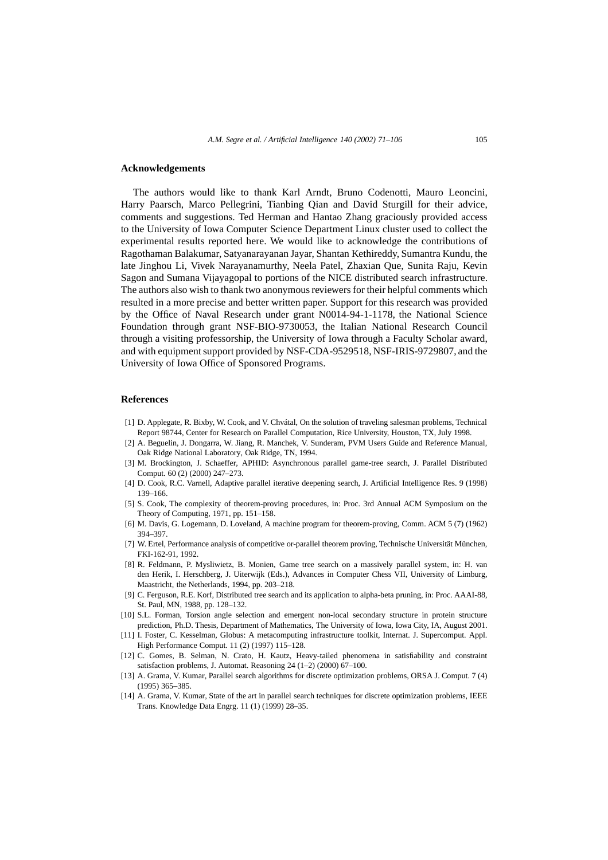#### **Acknowledgements**

The authors would like to thank Karl Arndt, Bruno Codenotti, Mauro Leoncini, Harry Paarsch, Marco Pellegrini, Tianbing Qian and David Sturgill for their advice, comments and suggestions. Ted Herman and Hantao Zhang graciously provided access to the University of Iowa Computer Science Department Linux cluster used to collect the experimental results reported here. We would like to acknowledge the contributions of Ragothaman Balakumar, Satyanarayanan Jayar, Shantan Kethireddy, Sumantra Kundu, the late Jinghou Li, Vivek Narayanamurthy, Neela Patel, Zhaxian Que, Sunita Raju, Kevin Sagon and Sumana Vijayagopal to portions of the NICE distributed search infrastructure. The authors also wish to thank two anonymous reviewers for their helpful comments which resulted in a more precise and better written paper. Support for this research was provided by the Office of Naval Research under grant N0014-94-1-1178, the National Science Foundation through grant NSF-BIO-9730053, the Italian National Research Council through a visiting professorship, the University of Iowa through a Faculty Scholar award, and with equipment support provided by NSF-CDA-9529518, NSF-IRIS-9729807, and the University of Iowa Office of Sponsored Programs.

## **References**

- [1] D. Applegate, R. Bixby, W. Cook, and V. Chvátal, On the solution of traveling salesman problems, Technical Report 98744, Center for Research on Parallel Computation, Rice University, Houston, TX, July 1998.
- [2] A. Beguelin, J. Dongarra, W. Jiang, R. Manchek, V. Sunderam, PVM Users Guide and Reference Manual, Oak Ridge National Laboratory, Oak Ridge, TN, 1994.
- [3] M. Brockington, J. Schaeffer, APHID: Asynchronous parallel game-tree search, J. Parallel Distributed Comput. 60 (2) (2000) 247–273.
- [4] D. Cook, R.C. Varnell, Adaptive parallel iterative deepening search, J. Artificial Intelligence Res. 9 (1998) 139–166.
- [5] S. Cook, The complexity of theorem-proving procedures, in: Proc. 3rd Annual ACM Symposium on the Theory of Computing, 1971, pp. 151–158.
- [6] M. Davis, G. Logemann, D. Loveland, A machine program for theorem-proving, Comm. ACM 5 (7) (1962) 394–397.
- [7] W. Ertel, Performance analysis of competitive or-parallel theorem proving, Technische Universität München, FKI-162-91, 1992.
- [8] R. Feldmann, P. Mysliwietz, B. Monien, Game tree search on a massively parallel system, in: H. van den Herik, I. Herschberg, J. Uiterwijk (Eds.), Advances in Computer Chess VII, University of Limburg, Maastricht, the Netherlands, 1994, pp. 203–218.
- [9] C. Ferguson, R.E. Korf, Distributed tree search and its application to alpha-beta pruning, in: Proc. AAAI-88, St. Paul, MN, 1988, pp. 128–132.
- [10] S.L. Forman, Torsion angle selection and emergent non-local secondary structure in protein structure prediction, Ph.D. Thesis, Department of Mathematics, The University of Iowa, Iowa City, IA, August 2001.
- [11] I. Foster, C. Kesselman, Globus: A metacomputing infrastructure toolkit, Internat. J. Supercomput. Appl. High Performance Comput. 11 (2) (1997) 115–128.
- [12] C. Gomes, B. Selman, N. Crato, H. Kautz, Heavy-tailed phenomena in satisfiability and constraint satisfaction problems, J. Automat. Reasoning 24 (1–2) (2000) 67–100.
- [13] A. Grama, V. Kumar, Parallel search algorithms for discrete optimization problems, ORSA J. Comput. 7 (4) (1995) 365–385.
- [14] A. Grama, V. Kumar, State of the art in parallel search techniques for discrete optimization problems, IEEE Trans. Knowledge Data Engrg. 11 (1) (1999) 28–35.